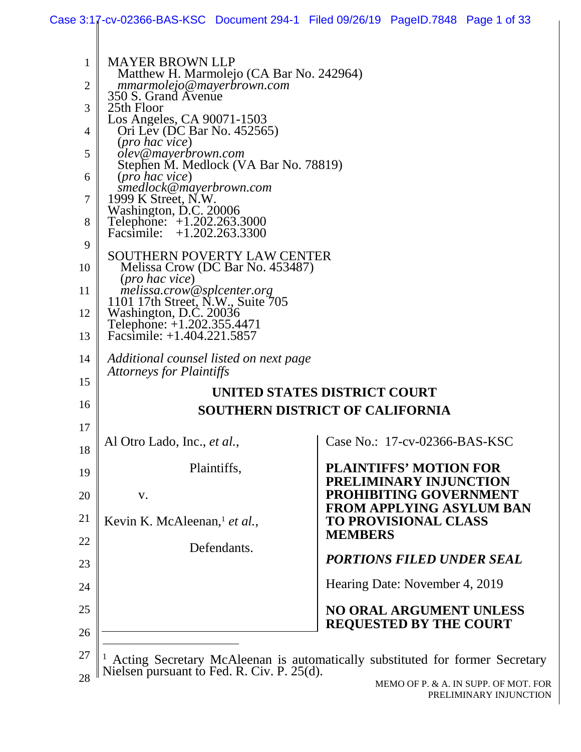| 1              | <b>MAYER BROWN LLP</b>                                                                                                  |                                                                              |  |  |
|----------------|-------------------------------------------------------------------------------------------------------------------------|------------------------------------------------------------------------------|--|--|
| $\overline{2}$ | Matthew H. Marmolejo (CA Bar No. 242964)<br>mmarmolejo@mayerbrown.com                                                   |                                                                              |  |  |
| 3              | 350 S. Grand Avenue<br>25th Floor                                                                                       |                                                                              |  |  |
| 4              | Los Angeles, CA 90071-1503<br>Ori Lev (DC Bar No. 452565)                                                               |                                                                              |  |  |
| 5              | ( <i>pro hac vice</i> )<br>olev@mayerbrown.com                                                                          |                                                                              |  |  |
| 6              | Stephen M. Medlock (VA Bar No. 78819)<br>(pro hac vice)                                                                 |                                                                              |  |  |
| 7              | smedlock@mayerbrown.com<br>1999 K Street, N.W.                                                                          |                                                                              |  |  |
| 8              | Washington, D.C. 20006<br>Telephone: +1.202.263.3000                                                                    |                                                                              |  |  |
| 9              | $+1.202.263.3300$<br>Facsimile:                                                                                         |                                                                              |  |  |
| 10             | <b>SOUTHERN POVERTY LAW CENTER</b><br>Melissa Crow (DC Bar No. 453487)                                                  |                                                                              |  |  |
|                | ( <i>pro hac vice</i> )                                                                                                 |                                                                              |  |  |
| 11             | melissa.crow@splcenter.org<br>1101 17th Street, N.W., Suite 705<br>Washington, D.C. 20036<br>Telephone: +1.202.355.4471 |                                                                              |  |  |
| 12             |                                                                                                                         |                                                                              |  |  |
| 13             | Facsimile: $+1.404.221.5857$                                                                                            |                                                                              |  |  |
| 14<br>15       | Additional counsel listed on next page<br><b>Attorneys for Plaintiffs</b>                                               |                                                                              |  |  |
|                |                                                                                                                         | UNITED STATES DISTRICT COURT                                                 |  |  |
| 16             |                                                                                                                         | <b>SOUTHERN DISTRICT OF CALIFORNIA</b>                                       |  |  |
| 17<br>18       | Al Otro Lado, Inc., <i>et al.</i> ,                                                                                     | Case No.: 17-cv-02366-BAS-KSC                                                |  |  |
| 19             | Plaintiffs,                                                                                                             | <b>PLAINTIFFS' MOTION FOR</b>                                                |  |  |
| 20             | V.                                                                                                                      | PRELIMINARY INJUNCTION<br><b>PROHIBITING GOVERNMENT</b>                      |  |  |
| 21             | Kevin K. McAleenan, <sup>1</sup> et al.,                                                                                | <b>FROM APPLYING ASYLUM BAN</b><br><b>TO PROVISIONAL CLASS</b>               |  |  |
| 22             | Defendants.                                                                                                             | <b>MEMBERS</b>                                                               |  |  |
| 23             |                                                                                                                         | <b>PORTIONS FILED UNDER SEAL</b>                                             |  |  |
| 24             |                                                                                                                         | Hearing Date: November 4, 2019                                               |  |  |
| 25             |                                                                                                                         | <b>NO ORAL ARGUMENT UNLESS</b><br><b>REQUESTED BY THE COURT</b>              |  |  |
| 26             |                                                                                                                         |                                                                              |  |  |
| 27             | Nielsen pursuant to Fed. R. Civ. P. 25(d).                                                                              | Acting Secretary McAleenan is automatically substituted for former Secretary |  |  |
| 28             |                                                                                                                         |                                                                              |  |  |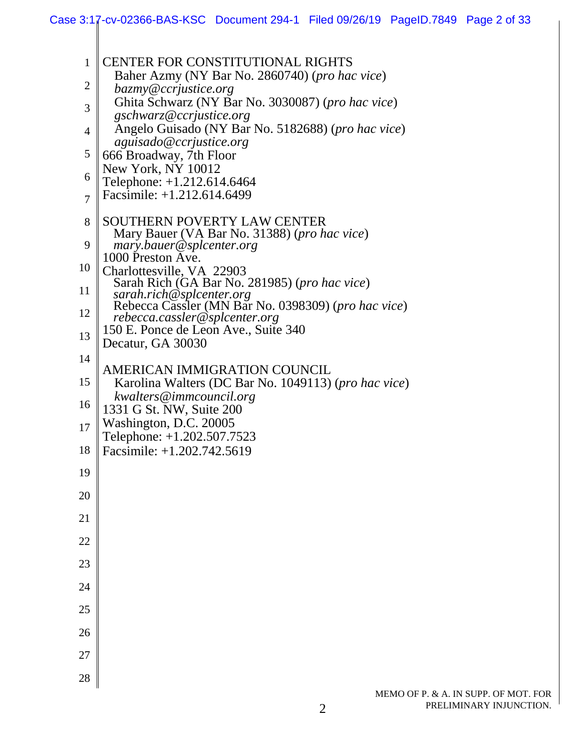| $\mathbf{1}$   | <b>CENTER FOR CONSTITUTIONAL RIGHTS</b>                                         |
|----------------|---------------------------------------------------------------------------------|
| $\overline{c}$ | Baher Azmy (NY Bar No. 2860740) (pro hac vice)                                  |
| 3              | bazmy@ccrjustice.org<br>Ghita Schwarz (NY Bar No. 3030087) (pro hac vice)       |
|                | gschwarz@ccrjustice.org<br>Angelo Guisado (NY Bar No. 5182688) (pro hac vice)   |
| 4              | aguisado@ccrjustice.org                                                         |
| 5              | 666 Broadway, 7th Floor<br>New York, NY 10012                                   |
| 6              | Telephone: +1.212.614.6464                                                      |
| $\overline{7}$ | Facsimile: +1.212.614.6499                                                      |
| 8              | SOUTHERN POVERTY LAW CENTER                                                     |
| 9              | Mary Bauer (VA Bar No. 31388) (pro hac vice)<br>mary.bauer@splcenter.org        |
| 10             | 1000 Preston Ave.<br>Charlottesville, VA 22903                                  |
| 11             | Sarah Rich (GA Bar No. 281985) (pro hac vice)                                   |
| 12             | sarah.rich@splcenter.org<br>Rebecca Cassler (MN Bar No. 0398309) (pro hac vice) |
|                | rebecca.cassler@splcenter.org<br>150 E. Ponce de Leon Ave., Suite 340           |
| 13             | Decatur, GA 30030                                                               |
| 14             | AMERICAN IMMIGRATION COUNCIL                                                    |
| 15             | Karolina Walters (DC Bar No. 1049113) (pro hac vice)                            |
| 16             | kwalters@immcouncil.org<br>1331 G St. NW, Suite 200                             |
| 17             | Washington, D.C. 20005                                                          |
| 18             | Telephone: +1.202.507.7523<br>Facsimile: +1.202.742.5619                        |
| 19             |                                                                                 |
| 20             |                                                                                 |
| 21             |                                                                                 |
| 22             |                                                                                 |
| 23             |                                                                                 |
| 24             |                                                                                 |
| 25             |                                                                                 |
| 26             |                                                                                 |
| 27             |                                                                                 |
| 28             |                                                                                 |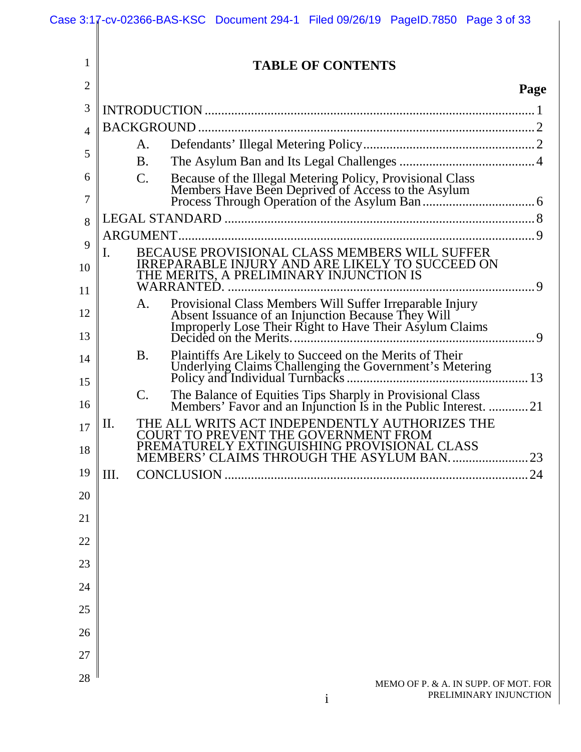|                | Case 3:17-cv-02366-BAS-KSC Document 294-1 Filed 09/26/19 PageID.7850 Page 3 of 33                                                                                               |      |
|----------------|---------------------------------------------------------------------------------------------------------------------------------------------------------------------------------|------|
| 1              | <b>TABLE OF CONTENTS</b>                                                                                                                                                        |      |
| $\overline{2}$ |                                                                                                                                                                                 | Page |
| 3              |                                                                                                                                                                                 |      |
| 4              |                                                                                                                                                                                 |      |
|                | А.                                                                                                                                                                              |      |
| 5              | <b>B.</b>                                                                                                                                                                       |      |
| 6<br>7         | C.                                                                                                                                                                              |      |
|                |                                                                                                                                                                                 |      |
| 8              | ARGUMENT.                                                                                                                                                                       |      |
| 9<br>10        | BECAUSE PROVISIONAL CLASS MEMBERS WILL SUFFER<br>I.<br>IRREPARABLE INJURY AND ARE LIKELY TO SUCCEED ON THE MERITS, A PRELIMINARY INJUNCTION IS                                  |      |
| 11             |                                                                                                                                                                                 |      |
| 12             | Provisional Class Members Will Suffer Irreparable Injury<br>Absent Issuance of an Injunction Because They Will<br>Improperly Lose Their Right to Have Their Asylum Claims<br>A. |      |
| 13             | Decided on the Merits                                                                                                                                                           |      |
| 14             | Plaintiffs Are Likely to Succeed on the Merits of Their<br><b>B.</b>                                                                                                            |      |
| 15             | C.                                                                                                                                                                              |      |
| 16             | The Balance of Equities Tips Sharply in Provisional Class<br>Members' Favor and an Injunction Is in the Public Interest. 21                                                     |      |
| 17             | THE ALL WRITS ACT INDEPENDENTLY AUTHORIZES THE<br>П.<br>COURT TO PREVENT THE GOVERNMENT FROM<br>PREMATURELY EXTINGUISHING PROVISIONAL CLASS                                     |      |
| 18             | MEMBERS' CLAIMS THROUGH THE ASYLUM BAN                                                                                                                                          | 23   |
| 19             | Ш.                                                                                                                                                                              | .24  |
| 20             |                                                                                                                                                                                 |      |
| 21             |                                                                                                                                                                                 |      |
| 22             |                                                                                                                                                                                 |      |
| 23             |                                                                                                                                                                                 |      |
| 24             |                                                                                                                                                                                 |      |
| 25             |                                                                                                                                                                                 |      |
| 26             |                                                                                                                                                                                 |      |
| 27             |                                                                                                                                                                                 |      |
| 28             | MEMO OF P. & A. IN SUPP. OF MOT. FOR                                                                                                                                            |      |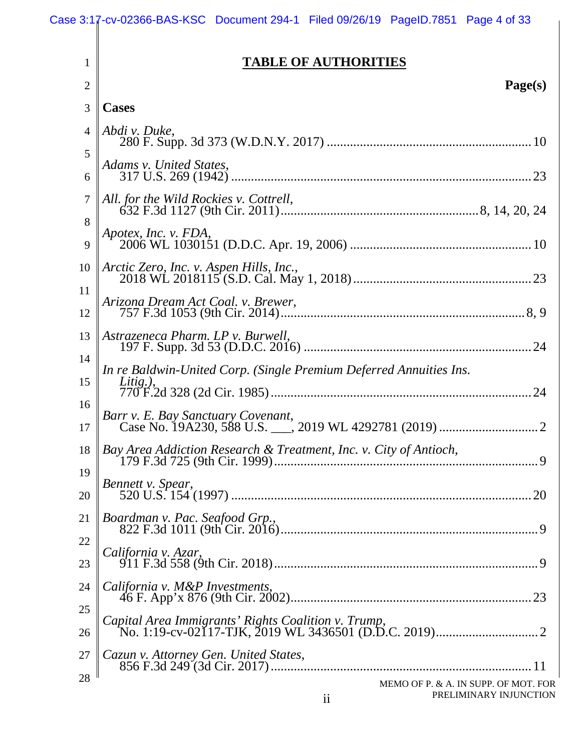| 1<br>2         | <b>TABLE OF AUTHORITIES</b><br>Page(s)                                                                      |
|----------------|-------------------------------------------------------------------------------------------------------------|
| 3              | <b>Cases</b>                                                                                                |
| 4              | Abdi v. Duke,                                                                                               |
| 5<br>6         | Adams v. United States,                                                                                     |
| $\overline{7}$ | All. for the Wild Rockies v. Cottrell,                                                                      |
| 8<br>9         | Apotex, Inc. v. FDA,                                                                                        |
| 10             | Arctic Zero, Inc. v. Aspen Hills, Inc.,                                                                     |
| 11<br>12       | Arizona Dream Act Coal. v. Brewer,                                                                          |
| 13             | Astrazeneca Pharm. LP v. Burwell,                                                                           |
| 14<br>15       | In re Baldwin-United Corp. (Single Premium Deferred Annuities Ins.<br>Litig.),                              |
| 16<br>17       |                                                                                                             |
| 18             | Bay Area Addiction Research & Treatment, Inc. v. City of Antioch,<br>179 F.3d 725 (9th Cir. 1999).<br>9<br> |
| 19<br>20       | Bennett v. Spear,<br>20                                                                                     |
| 21             | Boardman v. Pac. Seafood Grp.,                                                                              |
| 22<br>23       | California v. Azar,                                                                                         |
| 24<br>25       | California v. M&P Investments,                                                                              |

26 27 28 *Capital Area Immigrants' Rights Coalition v. Trump*, No. 1:19-cv-02117-TJK, 2019 WL 3436501 (D.D.C. 2019) ............................... 2 *Cazun v. Attorney Gen. United States*, 856 F.3d 249 (3d Cir. 2017) ............................................................................... 11

MEMO OF P. & A. IN SUPP. OF MOT. FOR PRELIMINARY INJUNCTION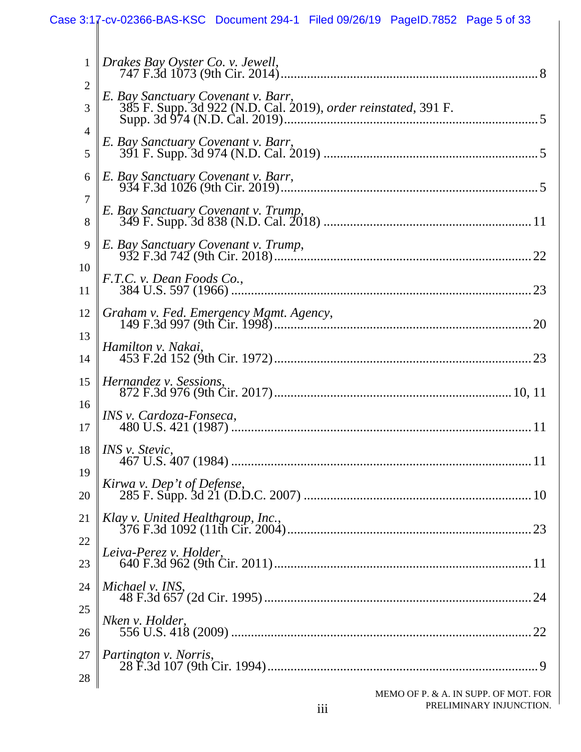|                     | Case 3:17-cv-02366-BAS-KSC Document 294-1 Filed 09/26/19 PageID.7852 Page 5 of 33                    |
|---------------------|------------------------------------------------------------------------------------------------------|
| 1                   | Drakes Bay Oyster Co. v. Jewell,                                                                     |
| $\overline{c}$<br>3 | E. Bay Sanctuary Covenant v. Barr,<br>385 F. Supp. 3d 922 (N.D. Cal. 2019), order reinstated, 391 F. |
| $\overline{4}$<br>5 | E. Bay Sanctuary Covenant v. Barr,                                                                   |
| 6                   | E. Bay Sanctuary Covenant v. Barr,                                                                   |
| 7<br>8              | E. Bay Sanctuary Covenant v. Trump,                                                                  |
| 9<br>10             | E. Bay Sanctuary Covenant v. Trump,                                                                  |
| 11                  | F.T.C. v. Dean Foods Co.,                                                                            |
| 12<br>13            |                                                                                                      |
| 14<br>15            | Hamilton v. Nakai,<br>Hernandez v. Sessions,                                                         |
| 16                  | INS v. Cardoza-Fonseca,                                                                              |
| 17<br>18            | INS v. Stevic,                                                                                       |
| 19<br>20            | Kirwa v. Dep't of Defense,                                                                           |
| 21                  |                                                                                                      |
| 22<br>23            | Leiva-Perez v. Holder,                                                                               |
| 24<br>25            | Michael v. INS,                                                                                      |
| 26                  | Nken v. Holder,                                                                                      |
| 27<br>28            | Partington v. Norris,                                                                                |
|                     | LO OF B & A IN SUBB OF MOT FOR                                                                       |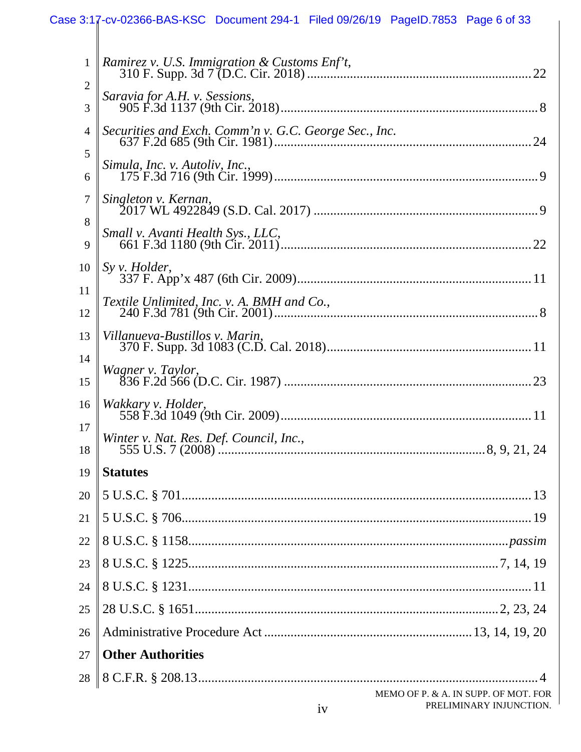|                | Case 3:17-cv-02366-BAS-KSC Document 294-1 Filed 09/26/19 PageID.7853 Page 6 of 33 |
|----------------|-----------------------------------------------------------------------------------|
| $\mathbf{1}$   | Ramirez v. U.S. Immigration & Customs Enf't,                                      |
| $\overline{2}$ |                                                                                   |
| 3              | Saravia for A.H. v. Sessions,                                                     |
| 4              | Securities and Exch. Comm'n v. G.C. George Sec., Inc.                             |
| 5              | Simula, Inc. v. Autoliv, Inc.,                                                    |
| 6              |                                                                                   |
| 7              | Singleton v. Kernan,                                                              |
| 8              | Small v. Avanti Health Sys., LLC,                                                 |
| 9              |                                                                                   |
| 10             | $S_y v.$ Holder,                                                                  |
| 11<br>12       | Textile Unlimited, Inc. v. A. BMH and Co.,                                        |
| 13             | Villanueva-Bustillos v. Marin,                                                    |
| 14             | Wagner v. Taylor,                                                                 |
| 15             |                                                                                   |
| 16             | Wakkary v. Holder,                                                                |
| 17             | Winter v. Nat. Res. Def. Council, Inc.,                                           |
| 18             |                                                                                   |
| 19             | <b>Statutes</b>                                                                   |
| 20             |                                                                                   |
| 21             |                                                                                   |
| 22             |                                                                                   |
| 23             |                                                                                   |
| 24             |                                                                                   |
| 25             |                                                                                   |
| 26             |                                                                                   |
| 27             | <b>Other Authorities</b>                                                          |
| 28             |                                                                                   |
|                | MEMO OF P. & A. IN SUPP. OF MOT. FOR<br>PRELIMINARY INJUNCTION.<br>iv             |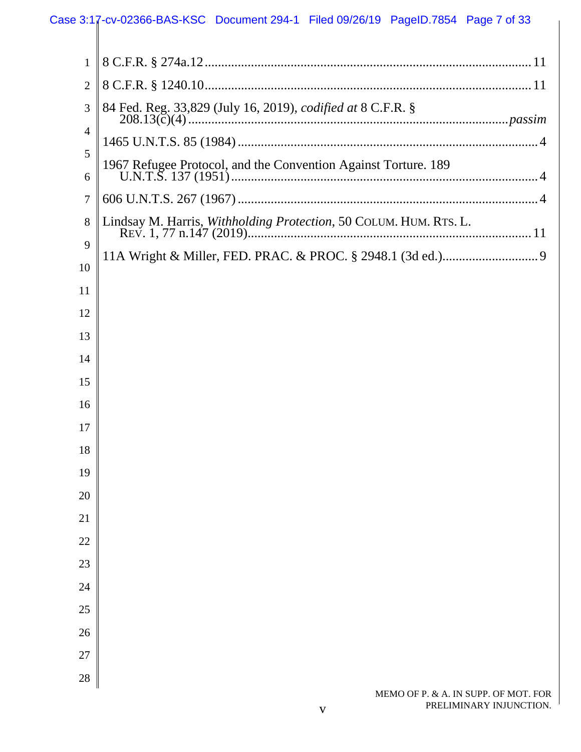# Case 3:17-cv-02366-BAS-KSC Document 294-1 Filed 09/26/19 PageID.7854 Page 7 of 33

| 1              |                                                                   |
|----------------|-------------------------------------------------------------------|
| $\overline{2}$ |                                                                   |
| 3              | 84 Fed. Reg. 33,829 (July 16, 2019), codified at 8 C.F.R. §       |
| 4              |                                                                   |
| 5              | 1967 Refugee Protocol, and the Convention Against Torture. 189    |
| 6              |                                                                   |
| 7              |                                                                   |
| 8              | Lindsay M. Harris, Withholding Protection, 50 COLUM. HUM. RTS. L. |
| 9              |                                                                   |
| 10             |                                                                   |
| 11             |                                                                   |
| 12             |                                                                   |
| 13             |                                                                   |
| 14             |                                                                   |
| 15             |                                                                   |
| 16             |                                                                   |
| 17             |                                                                   |
| 18             |                                                                   |
| 19             |                                                                   |
| 20             |                                                                   |
| 21             |                                                                   |
| $22\,$         |                                                                   |
| 23             |                                                                   |
| 24             |                                                                   |
| $25\,$         |                                                                   |
| 26             |                                                                   |
| 27             |                                                                   |
| 28             |                                                                   |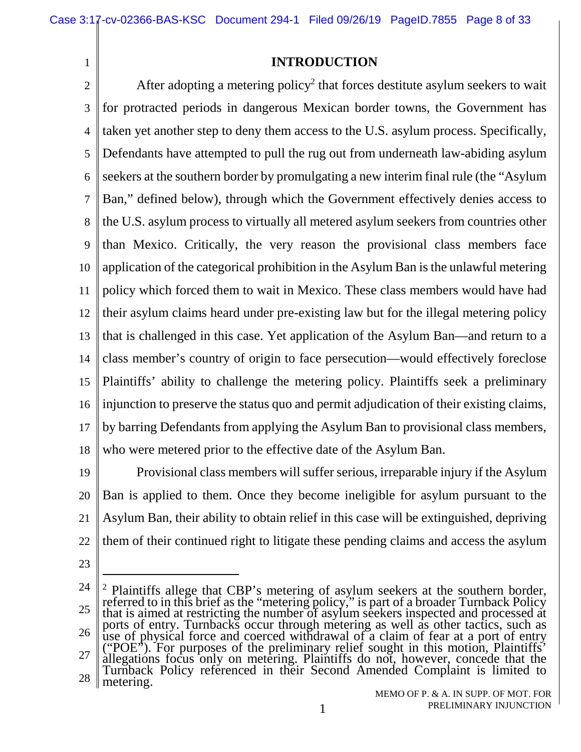### **INTRODUCTION**

2 3 4 5 6 7 8 9 10 11 12 13 14 15 16 17 18 After adopting a metering policy<sup>2</sup> that forces destitute asylum seekers to wait for protracted periods in dangerous Mexican border towns, the Government has taken yet another step to deny them access to the U.S. asylum process. Specifically, Defendants have attempted to pull the rug out from underneath law-abiding asylum seekers at the southern border by promulgating a new interim final rule (the "Asylum Ban," defined below), through which the Government effectively denies access to the U.S. asylum process to virtually all metered asylum seekers from countries other than Mexico. Critically, the very reason the provisional class members face application of the categorical prohibition in the Asylum Ban is the unlawful metering policy which forced them to wait in Mexico. These class members would have had their asylum claims heard under pre-existing law but for the illegal metering policy that is challenged in this case. Yet application of the Asylum Ban—and return to a class member's country of origin to face persecution—would effectively foreclose Plaintiffs' ability to challenge the metering policy. Plaintiffs seek a preliminary injunction to preserve the status quo and permit adjudication of their existing claims, by barring Defendants from applying the Asylum Ban to provisional class members, who were metered prior to the effective date of the Asylum Ban.

19 20 21 22 Provisional class members will suffer serious, irreparable injury if the Asylum Ban is applied to them. Once they become ineligible for asylum pursuant to the Asylum Ban, their ability to obtain relief in this case will be extinguished, depriving them of their continued right to litigate these pending claims and access the asylum

23

<sup>24</sup> 25 26 27 28 2 Plaintiffs allege that CBP's metering of asylum seekers at the southern border, referred to in this brief as the "metering policy," is part of a broader Turnback Policy that is aimed at restricting the number of asylum seekers inspected and processed at ports of entry. Turnbacks occur through metering as well as other tactics, such as use of physical force and coerced withdrawal of a claim of fear at a port of entry ("POE"). For purposes of the preliminary relief sought in this motion, Plaintiffs' allegations focus only on metering. Plaintiffs do not, however, concede that the Turnback Policy referenced in their Second Amended Complaint is limited to metering.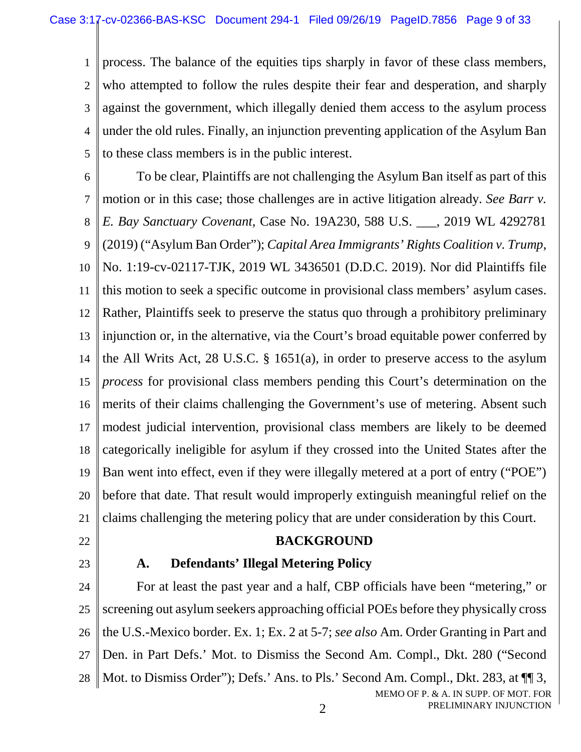1  $\mathfrak{D}$ 3 4 5 process. The balance of the equities tips sharply in favor of these class members, who attempted to follow the rules despite their fear and desperation, and sharply against the government, which illegally denied them access to the asylum process under the old rules. Finally, an injunction preventing application of the Asylum Ban to these class members is in the public interest.

6 7 8 9 10 11 12 13 14 15 16 17 18 19 20 21 To be clear, Plaintiffs are not challenging the Asylum Ban itself as part of this motion or in this case; those challenges are in active litigation already. *See Barr v. E. Bay Sanctuary Covenant*, Case No. 19A230, 588 U.S. \_\_\_, 2019 WL 4292781 (2019) ("Asylum Ban Order"); *Capital Area Immigrants' Rights Coalition v. Trump*, No. 1:19-cv-02117-TJK, 2019 WL 3436501 (D.D.C. 2019). Nor did Plaintiffs file this motion to seek a specific outcome in provisional class members' asylum cases. Rather, Plaintiffs seek to preserve the status quo through a prohibitory preliminary injunction or, in the alternative, via the Court's broad equitable power conferred by the All Writs Act, 28 U.S.C. § 1651(a), in order to preserve access to the asylum *process* for provisional class members pending this Court's determination on the merits of their claims challenging the Government's use of metering. Absent such modest judicial intervention, provisional class members are likely to be deemed categorically ineligible for asylum if they crossed into the United States after the Ban went into effect, even if they were illegally metered at a port of entry ("POE") before that date. That result would improperly extinguish meaningful relief on the claims challenging the metering policy that are under consideration by this Court.

22

#### **BACKGROUND**

23

#### **A. Defendants' Illegal Metering Policy**

MEMO OF P. & A. IN SUPP. OF MOT. FOR 24 25 26 27 28 For at least the past year and a half, CBP officials have been "metering," or screening out asylum seekers approaching official POEs before they physically cross the U.S.-Mexico border. Ex. 1; Ex. 2 at 5-7; *see also* Am. Order Granting in Part and Den. in Part Defs.' Mot. to Dismiss the Second Am. Compl., Dkt. 280 ("Second Mot. to Dismiss Order"); Defs.' Ans. to Pls.' Second Am. Compl., Dkt. 283, at  $\P$  3,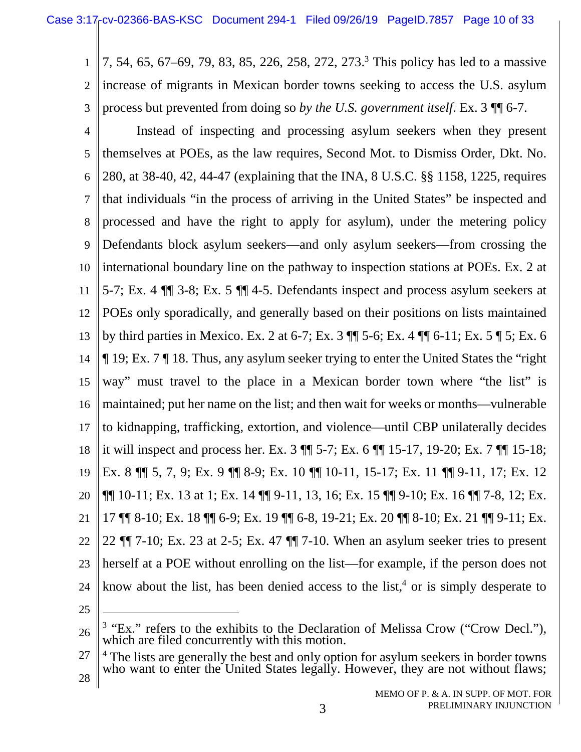1  $\mathfrak{D}$ 3 7, 54, 65, 67–69, 79, 83, 85, 226, 258, 272, 273.<sup>3</sup> This policy has led to a massive increase of migrants in Mexican border towns seeking to access the U.S. asylum process but prevented from doing so *by the U.S. government itself*. Ex. 3 ¶¶ 6-7.

4 5 6 7 8 9 10 11 12 13 14 15 16 17 18 19 20 21 22 23 24 Instead of inspecting and processing asylum seekers when they present themselves at POEs, as the law requires, Second Mot. to Dismiss Order, Dkt. No. 280, at 38-40, 42, 44-47 (explaining that the INA, 8 U.S.C. §§ 1158, 1225, requires that individuals "in the process of arriving in the United States" be inspected and processed and have the right to apply for asylum), under the metering policy Defendants block asylum seekers—and only asylum seekers—from crossing the international boundary line on the pathway to inspection stations at POEs. Ex. 2 at 5-7; Ex. 4 ¶¶ 3-8; Ex. 5 ¶¶ 4-5. Defendants inspect and process asylum seekers at POEs only sporadically, and generally based on their positions on lists maintained by third parties in Mexico. Ex. 2 at 6-7; Ex. 3 ¶¶ 5-6; Ex. 4 ¶¶ 6-11; Ex. 5 ¶ 5; Ex. 6 ¶ 19; Ex. 7 ¶ 18. Thus, any asylum seeker trying to enter the United States the "right way" must travel to the place in a Mexican border town where "the list" is maintained; put her name on the list; and then wait for weeks or months—vulnerable to kidnapping, trafficking, extortion, and violence—until CBP unilaterally decides it will inspect and process her. Ex. 3 ¶¶ 5-7; Ex. 6 ¶¶ 15-17, 19-20; Ex. 7 ¶¶ 15-18; Ex. 8 ¶¶ 5, 7, 9; Ex. 9 ¶¶ 8-9; Ex. 10 ¶¶ 10-11, 15-17; Ex. 11 ¶¶ 9-11, 17; Ex. 12  $\P\P$  10-11; Ex. 13 at 1; Ex. 14  $\P\P$  9-11, 13, 16; Ex. 15  $\P\P$  9-10; Ex. 16  $\P$  7-8, 12; Ex. 17 ¶¶ 8-10; Ex. 18 ¶¶ 6-9; Ex. 19 ¶¶ 6-8, 19-21; Ex. 20 ¶¶ 8-10; Ex. 21 ¶¶ 9-11; Ex. 22 ¶¶ 7-10; Ex. 23 at 2-5; Ex. 47 ¶¶ 7-10. When an asylum seeker tries to present herself at a POE without enrolling on the list—for example, if the person does not know about the list, has been denied access to the list,<sup>4</sup> or is simply desperate to

<sup>26</sup>  $3$  "Ex." refers to the exhibits to the Declaration of Melissa Crow ("Crow Decl."), which are filed concurrently with this motion.

<sup>27</sup> 28 <sup>4</sup> The lists are generally the best and only option for asylum seekers in border towns who want to enter the United States legally. However, they are not without flaws;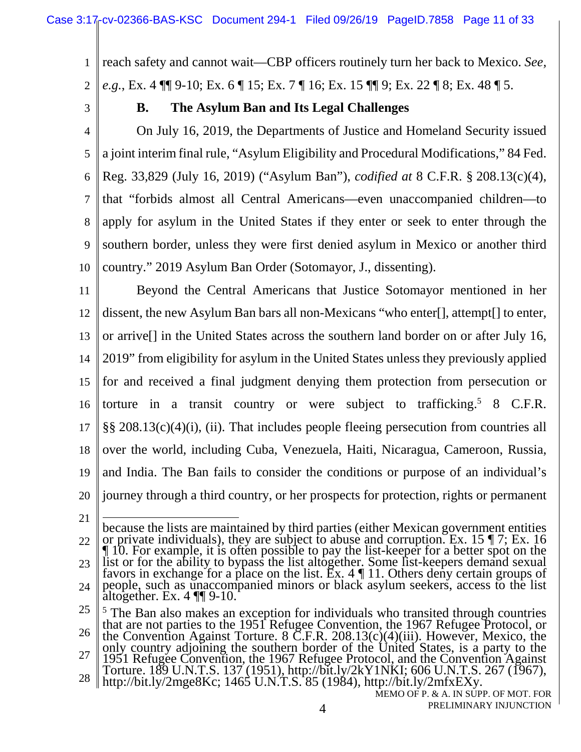1  $\overline{2}$ reach safety and cannot wait—CBP officers routinely turn her back to Mexico. *See, e.g.*, Ex. 4 ¶¶ 9-10; Ex. 6 ¶ 15; Ex. 7 ¶ 16; Ex. 15 ¶¶ 9; Ex. 22 ¶ 8; Ex. 48 ¶ 5.

3

### **B. The Asylum Ban and Its Legal Challenges**

4 5 6 7 8 9 10 On July 16, 2019, the Departments of Justice and Homeland Security issued a joint interim final rule, "Asylum Eligibility and Procedural Modifications," 84 Fed. Reg. 33,829 (July 16, 2019) ("Asylum Ban"), *codified at* 8 C.F.R. § 208.13(c)(4), that "forbids almost all Central Americans—even unaccompanied children—to apply for asylum in the United States if they enter or seek to enter through the southern border, unless they were first denied asylum in Mexico or another third country." 2019 Asylum Ban Order (Sotomayor, J., dissenting).

11 12 13 14 15 16 17 18 19 20 Beyond the Central Americans that Justice Sotomayor mentioned in her dissent, the new Asylum Ban bars all non-Mexicans "who enter[], attempt[] to enter, or arrive[] in the United States across the southern land border on or after July 16, 2019" from eligibility for asylum in the United States unless they previously applied for and received a final judgment denying them protection from persecution or torture in a transit country or were subject to trafficking.<sup>5</sup> 8 C.F.R. §§ 208.13(c)(4)(i), (ii). That includes people fleeing persecution from countries all over the world, including Cuba, Venezuela, Haiti, Nicaragua, Cameroon, Russia, and India. The Ban fails to consider the conditions or purpose of an individual's journey through a third country, or her prospects for protection, rights or permanent

<sup>21</sup> 22 23 24 because the lists are maintained by third parties (either Mexican government entities or private individuals), they are subject to abuse and corruption. Ex. 15 ¶ 7; Ex. 16 ¶ 10. For example, it is often possible to pay the list-keeper for a better spot on the list or for the ability to bypass the list altogether. Some list-keepers demand sexual favors in exchange for a place on the list. Ex. 4 ¶ 11. Others deny certain groups of people, such as unaccompanied minors or black asylum seekers, access to the list altogether. Ex. 4 ¶¶ 9-10.

<sup>25</sup> 26 27 <sup>5</sup> The Ban also makes an exception for individuals who transited through countries that are not parties to the 1951 Refugee Convention, the 1967 Refugee Protocol, or the Convention Against Torture. 8 C.F.R. 208.13(c)(4)(iii). However, Mexico, the only country adjoining the southern border of the United States, is a party to the 1951 Refugee Convention, the 1967 Refugee Protocol, and the Convention Against Torture. 189 U.N.T.S. 137 (1951), http://bit.ly/2kY1NKI; 606 U.N.T.S. 267 (1967),

<sup>28</sup> http://bit.ly/2mge8Kc; 1465 U.N.T.S. 85 (1984), http://bit.ly/2mfxEXy.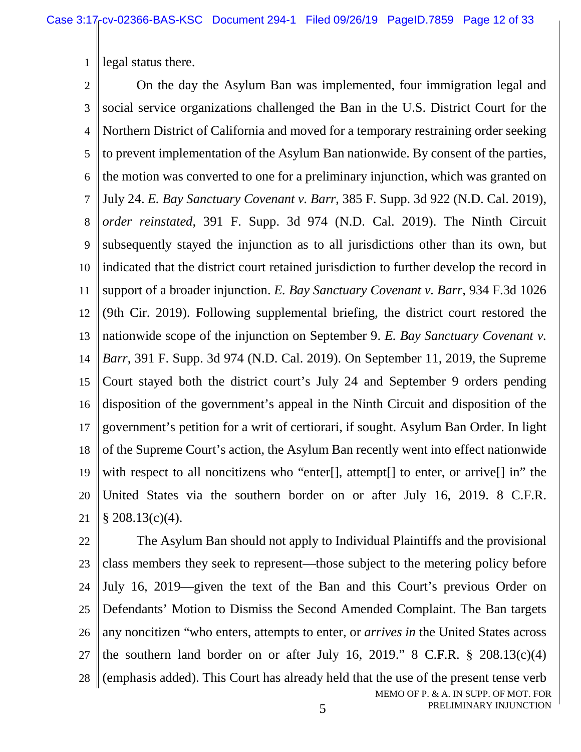1 legal status there.

2 3 4 5 6 7 8 9 10 11 12 13 14 15 16 17 18 19 20 21 On the day the Asylum Ban was implemented, four immigration legal and social service organizations challenged the Ban in the U.S. District Court for the Northern District of California and moved for a temporary restraining order seeking to prevent implementation of the Asylum Ban nationwide. By consent of the parties, the motion was converted to one for a preliminary injunction, which was granted on July 24. *E. Bay Sanctuary Covenant v. Barr*, 385 F. Supp. 3d 922 (N.D. Cal. 2019), *order reinstated*, 391 F. Supp. 3d 974 (N.D. Cal. 2019). The Ninth Circuit subsequently stayed the injunction as to all jurisdictions other than its own, but indicated that the district court retained jurisdiction to further develop the record in support of a broader injunction. *E. Bay Sanctuary Covenant v. Barr*, 934 F.3d 1026 (9th Cir. 2019). Following supplemental briefing, the district court restored the nationwide scope of the injunction on September 9. *E. Bay Sanctuary Covenant v. Barr*, 391 F. Supp. 3d 974 (N.D. Cal. 2019). On September 11, 2019, the Supreme Court stayed both the district court's July 24 and September 9 orders pending disposition of the government's appeal in the Ninth Circuit and disposition of the government's petition for a writ of certiorari, if sought. Asylum Ban Order. In light of the Supreme Court's action, the Asylum Ban recently went into effect nationwide with respect to all noncitizens who "enter.", attempt. to enter, or arrive. In in the United States via the southern border on or after July 16, 2019. 8 C.F.R.  $§ 208.13(c)(4).$ 

MEMO OF P. & A. IN SUPP. OF MOT. FOR PRELIMINARY INJUNCTION 22 23 24 25 26 27 28 The Asylum Ban should not apply to Individual Plaintiffs and the provisional class members they seek to represent—those subject to the metering policy before July 16, 2019—given the text of the Ban and this Court's previous Order on Defendants' Motion to Dismiss the Second Amended Complaint. The Ban targets any noncitizen "who enters, attempts to enter, or *arrives in* the United States across the southern land border on or after July 16, 2019."  $\& C.F.R. \& 208.13(c)(4)$ (emphasis added). This Court has already held that the use of the present tense verb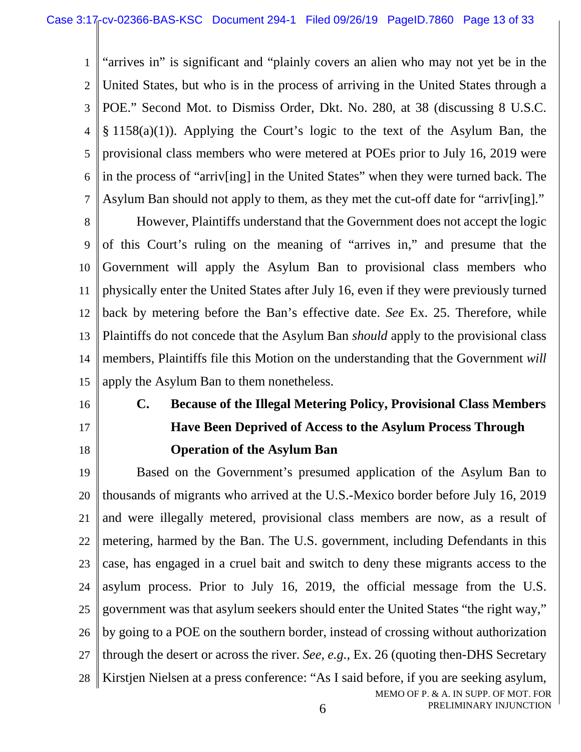1  $\overline{2}$ 3 4 5 6 7 "arrives in" is significant and "plainly covers an alien who may not yet be in the United States, but who is in the process of arriving in the United States through a POE." Second Mot. to Dismiss Order, Dkt. No. 280, at 38 (discussing 8 U.S.C. § 1158(a)(1)). Applying the Court's logic to the text of the Asylum Ban, the provisional class members who were metered at POEs prior to July 16, 2019 were in the process of "arriv[ing] in the United States" when they were turned back. The Asylum Ban should not apply to them, as they met the cut-off date for "arriv[ing]."

8 9 10 11 12 13 14 15 However, Plaintiffs understand that the Government does not accept the logic of this Court's ruling on the meaning of "arrives in," and presume that the Government will apply the Asylum Ban to provisional class members who physically enter the United States after July 16, even if they were previously turned back by metering before the Ban's effective date. *See* Ex. 25. Therefore, while Plaintiffs do not concede that the Asylum Ban *should* apply to the provisional class members, Plaintiffs file this Motion on the understanding that the Government *will* apply the Asylum Ban to them nonetheless.

16

17

18

**C. Because of the Illegal Metering Policy, Provisional Class Members Have Been Deprived of Access to the Asylum Process Through Operation of the Asylum Ban** 

MEMO OF P. & A. IN SUPP. OF MOT. FOR 19 20 21 22 23 24 25 26 27 28 Based on the Government's presumed application of the Asylum Ban to thousands of migrants who arrived at the U.S.-Mexico border before July 16, 2019 and were illegally metered, provisional class members are now, as a result of metering, harmed by the Ban. The U.S. government, including Defendants in this case, has engaged in a cruel bait and switch to deny these migrants access to the asylum process. Prior to July 16, 2019, the official message from the U.S. government was that asylum seekers should enter the United States "the right way," by going to a POE on the southern border, instead of crossing without authorization through the desert or across the river. *See, e.g.*, Ex. 26 (quoting then-DHS Secretary Kirstjen Nielsen at a press conference: "As I said before, if you are seeking asylum,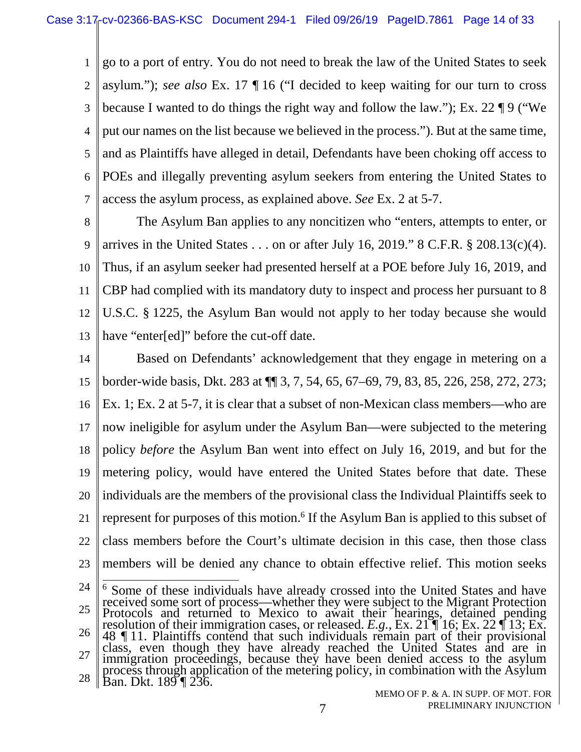1  $\mathfrak{D}$ 3 4 5 6 7 go to a port of entry. You do not need to break the law of the United States to seek asylum."); *see also* Ex. 17 ¶ 16 ("I decided to keep waiting for our turn to cross because I wanted to do things the right way and follow the law."); Ex. 22 ¶ 9 ("We put our names on the list because we believed in the process."). But at the same time, and as Plaintiffs have alleged in detail, Defendants have been choking off access to POEs and illegally preventing asylum seekers from entering the United States to access the asylum process, as explained above. *See* Ex. 2 at 5-7.

8 9 10 11 12 13 The Asylum Ban applies to any noncitizen who "enters, attempts to enter, or arrives in the United States  $\dots$  on or after July 16, 2019." 8 C.F.R. § 208.13(c)(4). Thus, if an asylum seeker had presented herself at a POE before July 16, 2019, and CBP had complied with its mandatory duty to inspect and process her pursuant to 8 U.S.C. § 1225, the Asylum Ban would not apply to her today because she would have "enter[ed]" before the cut-off date.

14 15 16 17 18 19 20 21 22 23 Based on Defendants' acknowledgement that they engage in metering on a border-wide basis, Dkt. 283 at ¶¶ 3, 7, 54, 65, 67–69, 79, 83, 85, 226, 258, 272, 273; Ex. 1; Ex. 2 at 5-7, it is clear that a subset of non-Mexican class members—who are now ineligible for asylum under the Asylum Ban—were subjected to the metering policy *before* the Asylum Ban went into effect on July 16, 2019, and but for the metering policy, would have entered the United States before that date. These individuals are the members of the provisional class the Individual Plaintiffs seek to represent for purposes of this motion.<sup>6</sup> If the Asylum Ban is applied to this subset of class members before the Court's ultimate decision in this case, then those class members will be denied any chance to obtain effective relief. This motion seeks

24 25 26 27 28 <sup>6</sup> Some of these individuals have already crossed into the United States and have received some sort of process—whether they were subject to the Migrant Protection Protocols and returned to Mexico to await their hearings, detained pending resolution of their immigration cases, or released. *E.g.*, Ex. 21 ¶ 16; Ex. 22 ¶ 13; Ex. 48 ¶ 11. Plaintiffs contend that such individuals remain part of their provisional class, even though they have already reached the United States and are in immigration proceedings, because they have been denied access to the asylum process through application of the metering policy, in combination with the Asylum Ban. Dkt. 189 ¶ 236.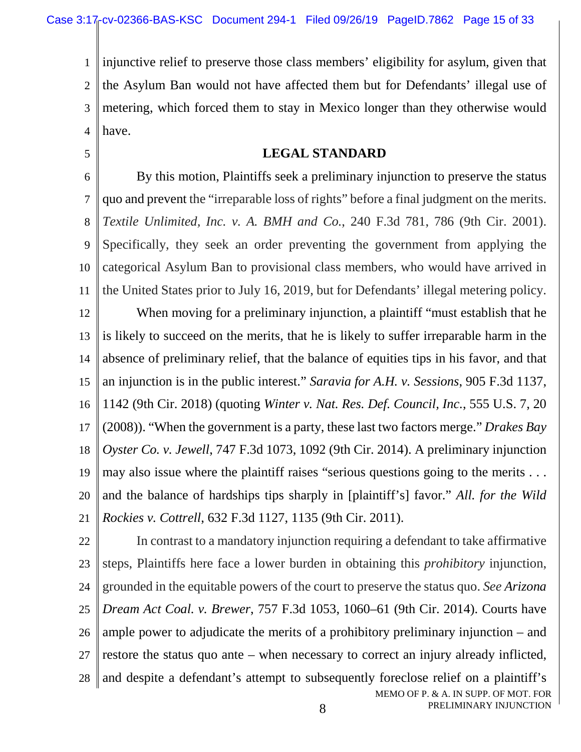5

1  $\mathfrak{D}$ 3 4 injunctive relief to preserve those class members' eligibility for asylum, given that the Asylum Ban would not have affected them but for Defendants' illegal use of metering, which forced them to stay in Mexico longer than they otherwise would have.

#### **LEGAL STANDARD**

6 7 8 9 10 11 12 By this motion, Plaintiffs seek a preliminary injunction to preserve the status quo and prevent the "irreparable loss of rights" before a final judgment on the merits. *Textile Unlimited, Inc. v. A. BMH and Co.*, 240 F.3d 781, 786 (9th Cir. 2001). Specifically, they seek an order preventing the government from applying the categorical Asylum Ban to provisional class members, who would have arrived in the United States prior to July 16, 2019, but for Defendants' illegal metering policy. When moving for a preliminary injunction, a plaintiff "must establish that he

13 14 15 16 17 18 19 20 21 is likely to succeed on the merits, that he is likely to suffer irreparable harm in the absence of preliminary relief, that the balance of equities tips in his favor, and that an injunction is in the public interest." *Saravia for A.H. v. Sessions*, 905 F.3d 1137, 1142 (9th Cir. 2018) (quoting *Winter v. Nat. Res. Def. Council, Inc.*, 555 U.S. 7, 20 (2008)). "When the government is a party, these last two factors merge." *Drakes Bay Oyster Co. v. Jewell*, 747 F.3d 1073, 1092 (9th Cir. 2014). A preliminary injunction may also issue where the plaintiff raises "serious questions going to the merits . . . and the balance of hardships tips sharply in [plaintiff's] favor." *All. for the Wild Rockies v. Cottrell*, 632 F.3d 1127, 1135 (9th Cir. 2011).

MEMO OF P. & A. IN SUPP. OF MOT. FOR PRELIMINARY INJUNCTION 22 23 24 25 26 27 28 In contrast to a mandatory injunction requiring a defendant to take affirmative steps, Plaintiffs here face a lower burden in obtaining this *prohibitory* injunction, grounded in the equitable powers of the court to preserve the status quo. *See Arizona Dream Act Coal. v. Brewer*, 757 F.3d 1053, 1060–61 (9th Cir. 2014). Courts have ample power to adjudicate the merits of a prohibitory preliminary injunction – and restore the status quo ante – when necessary to correct an injury already inflicted, and despite a defendant's attempt to subsequently foreclose relief on a plaintiff's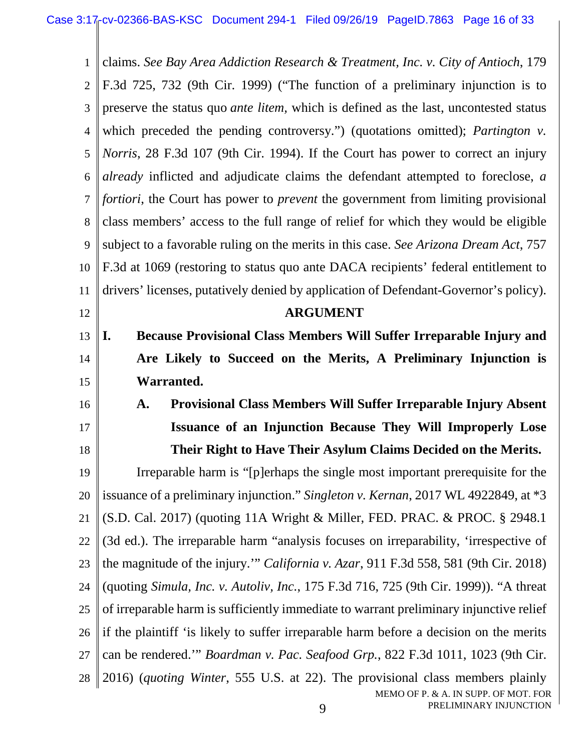1  $\overline{2}$ 3 4 5 6 7 8 9 10 11 12 13 14 15 16 17 18 19 20 21 22 23 24 claims. *See Bay Area Addiction Research & Treatment, Inc. v. City of Antioch*, 179 F.3d 725, 732 (9th Cir. 1999) ("The function of a preliminary injunction is to preserve the status quo *ante litem,* which is defined as the last, uncontested status which preceded the pending controversy.") (quotations omitted); *Partington v. Norris*, 28 F.3d 107 (9th Cir. 1994). If the Court has power to correct an injury *already* inflicted and adjudicate claims the defendant attempted to foreclose, *a fortiori*, the Court has power to *prevent* the government from limiting provisional class members' access to the full range of relief for which they would be eligible subject to a favorable ruling on the merits in this case. *See Arizona Dream Act*, 757 F.3d at 1069 (restoring to status quo ante DACA recipients' federal entitlement to drivers' licenses, putatively denied by application of Defendant-Governor's policy). **ARGUMENT I. Because Provisional Class Members Will Suffer Irreparable Injury and Are Likely to Succeed on the Merits, A Preliminary Injunction is Warranted. A. Provisional Class Members Will Suffer Irreparable Injury Absent Issuance of an Injunction Because They Will Improperly Lose Their Right to Have Their Asylum Claims Decided on the Merits.**  Irreparable harm is "[p]erhaps the single most important prerequisite for the issuance of a preliminary injunction." *Singleton v. Kernan*, 2017 WL 4922849, at \*3 (S.D. Cal. 2017) (quoting 11A Wright & Miller, FED. PRAC. & PROC. § 2948.1 (3d ed.). The irreparable harm "analysis focuses on irreparability, 'irrespective of the magnitude of the injury.'" *California v. Azar*, 911 F.3d 558, 581 (9th Cir. 2018) (quoting *Simula, Inc. v. Autoliv, Inc.*, 175 F.3d 716, 725 (9th Cir. 1999)). "A threat

25 of irreparable harm is sufficiently immediate to warrant preliminary injunctive relief

26 if the plaintiff 'is likely to suffer irreparable harm before a decision on the merits

27 can be rendered.'" *Boardman v. Pac. Seafood Grp.*, 822 F.3d 1011, 1023 (9th Cir.

MEMO OF P. & A. IN SUPP. OF MOT. FOR PRELIMINARY INJUNCTION 28 2016) (*quoting Winter*, 555 U.S. at 22). The provisional class members plainly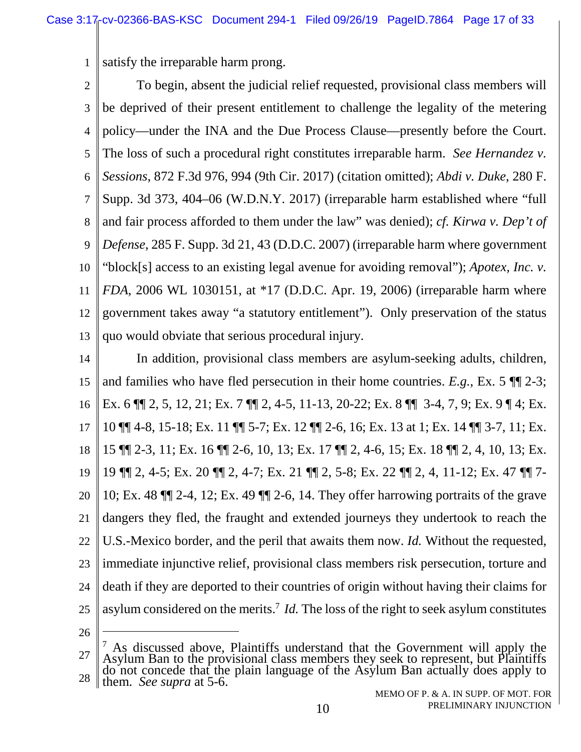1 satisfy the irreparable harm prong.

2 3 4 5 6 7 8 9 10 11 12 13 To begin, absent the judicial relief requested, provisional class members will be deprived of their present entitlement to challenge the legality of the metering policy—under the INA and the Due Process Clause—presently before the Court. The loss of such a procedural right constitutes irreparable harm. *See Hernandez v. Sessions*, 872 F.3d 976, 994 (9th Cir. 2017) (citation omitted); *Abdi v. Duke*, 280 F. Supp. 3d 373, 404–06 (W.D.N.Y. 2017) (irreparable harm established where "full and fair process afforded to them under the law" was denied); *cf. Kirwa v. Dep't of Defense*, 285 F. Supp. 3d 21, 43 (D.D.C. 2007) (irreparable harm where government "block[s] access to an existing legal avenue for avoiding removal"); *Apotex, Inc. v. FDA*, 2006 WL 1030151, at \*17 (D.D.C. Apr. 19, 2006) (irreparable harm where government takes away "a statutory entitlement"). Only preservation of the status quo would obviate that serious procedural injury.

14 15 16 17 18 19 20 21 22 23 24 25 In addition, provisional class members are asylum-seeking adults, children, and families who have fled persecution in their home countries. *E.g.*, Ex. 5 ¶¶ 2-3; Ex. 6 ¶¶ 2, 5, 12, 21; Ex. 7 ¶¶ 2, 4-5, 11-13, 20-22; Ex. 8 ¶¶ 3-4, 7, 9; Ex. 9 ¶ 4; Ex. 10 ¶¶ 4-8, 15-18; Ex. 11 ¶¶ 5-7; Ex. 12 ¶¶ 2-6, 16; Ex. 13 at 1; Ex. 14 ¶¶ 3-7, 11; Ex. 15 ¶¶ 2-3, 11; Ex. 16 ¶¶ 2-6, 10, 13; Ex. 17 ¶¶ 2, 4-6, 15; Ex. 18 ¶¶ 2, 4, 10, 13; Ex. 19 ¶¶ 2, 4-5; Ex. 20 ¶¶ 2, 4-7; Ex. 21 ¶¶ 2, 5-8; Ex. 22 ¶¶ 2, 4, 11-12; Ex. 47 ¶¶ 7- 10; Ex. 48 ¶¶ 2-4, 12; Ex. 49 ¶¶ 2-6, 14. They offer harrowing portraits of the grave dangers they fled, the fraught and extended journeys they undertook to reach the U.S.-Mexico border, and the peril that awaits them now. *Id.* Without the requested, immediate injunctive relief, provisional class members risk persecution, torture and death if they are deported to their countries of origin without having their claims for asylum considered on the merits.<sup>7</sup> Id. The loss of the right to seek asylum constitutes

<sup>27</sup> 28 <sup>7</sup> As discussed above, Plaintiffs understand that the Government will apply the Asylum Ban to the provisional class members they seek to represent, but Plaintiffs do not concede that the plain language of the Asylum Ban actually does apply to them. *See supra* at 5-6.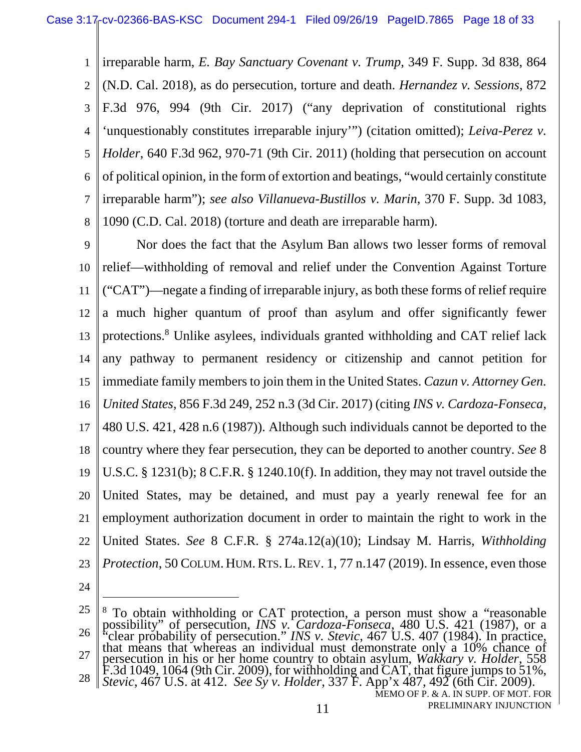1 2 3 4 5 6 7 8 irreparable harm, *E. Bay Sanctuary Covenant v. Trump*, 349 F. Supp. 3d 838, 864 (N.D. Cal. 2018), as do persecution, torture and death. *Hernandez v. Sessions*, 872 F.3d 976, 994 (9th Cir. 2017) ("any deprivation of constitutional rights 'unquestionably constitutes irreparable injury'") (citation omitted); *Leiva-Perez v. Holder*, 640 F.3d 962, 970-71 (9th Cir. 2011) (holding that persecution on account of political opinion, in the form of extortion and beatings, "would certainly constitute irreparable harm"); *see also Villanueva-Bustillos v. Marin*, 370 F. Supp. 3d 1083, 1090 (C.D. Cal. 2018) (torture and death are irreparable harm).

9 10 11 12 13 14 15 16 17 18 19 20 21 22 23 Nor does the fact that the Asylum Ban allows two lesser forms of removal relief—withholding of removal and relief under the Convention Against Torture ("CAT")—negate a finding of irreparable injury, as both these forms of relief require a much higher quantum of proof than asylum and offer significantly fewer protections.<sup>8</sup> Unlike asylees, individuals granted withholding and CAT relief lack any pathway to permanent residency or citizenship and cannot petition for immediate family members to join them in the United States. *Cazun v. Attorney Gen. United States*, 856 F.3d 249, 252 n.3 (3d Cir. 2017) (citing *INS v. Cardoza-Fonseca*, 480 U.S. 421, 428 n.6 (1987)). Although such individuals cannot be deported to the country where they fear persecution, they can be deported to another country. *See* 8 U.S.C. § 1231(b); 8 C.F.R. § 1240.10(f). In addition, they may not travel outside the United States, may be detained, and must pay a yearly renewal fee for an employment authorization document in order to maintain the right to work in the United States. *See* 8 C.F.R. § 274a.12(a)(10); Lindsay M. Harris, *Withholding Protection*, 50 COLUM. HUM. RTS. L. REV. 1, 77 n.147 (2019). In essence, even those

<sup>25</sup> 26 27 28 <sup>8</sup> To obtain withholding or CAT protection, a person must show a "reasonable" possibility" of persecution, *INS v. Cardoza-Fonseca*, 480 U.S. 421 (1987), or a "clear probability of persecution." *INS v. Stevic*, 467 U.S. 407 (1984). In practice, that means that whereas an individual must demonstrate only a 10% chance of persecution in his or her home country to obtain asylum, *Wakkary v. Holder*, 558 F.3d 1049, 1064 (9th Cir. 2009), for withholding and CAT, that figure jumps to 51%, *Stevic*, 467 U.S. at 412. *See Sy v. Holder*, 337 F. App'x 487, 492 (6th Cir. 2009).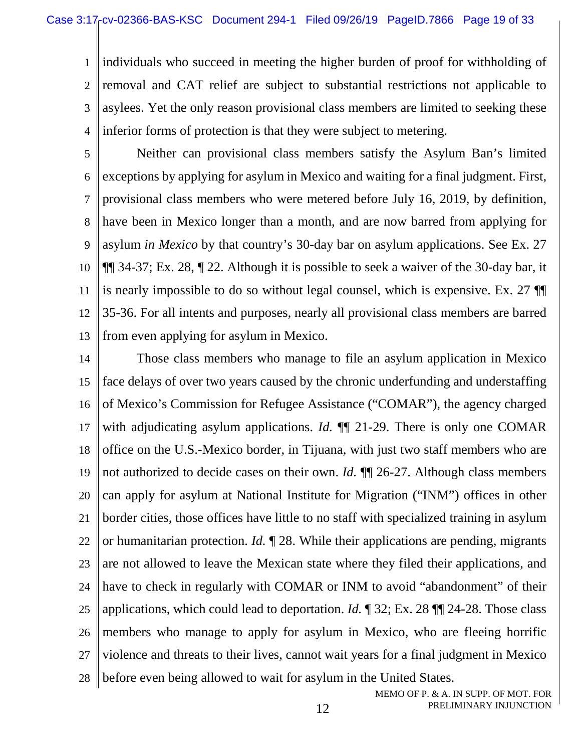1  $\mathfrak{D}$ 3 4 individuals who succeed in meeting the higher burden of proof for withholding of removal and CAT relief are subject to substantial restrictions not applicable to asylees. Yet the only reason provisional class members are limited to seeking these inferior forms of protection is that they were subject to metering.

5 6 7 8 9 10 11 12 13 Neither can provisional class members satisfy the Asylum Ban's limited exceptions by applying for asylum in Mexico and waiting for a final judgment. First, provisional class members who were metered before July 16, 2019, by definition, have been in Mexico longer than a month, and are now barred from applying for asylum *in Mexico* by that country's 30-day bar on asylum applications. See Ex. 27 ¶¶ 34-37; Ex. 28, ¶ 22. Although it is possible to seek a waiver of the 30-day bar, it is nearly impossible to do so without legal counsel, which is expensive. Ex. 27 ¶¶ 35-36. For all intents and purposes, nearly all provisional class members are barred from even applying for asylum in Mexico.

14 15 16 17 18 19 20 21 22 23 24 25 26 27 28 Those class members who manage to file an asylum application in Mexico face delays of over two years caused by the chronic underfunding and understaffing of Mexico's Commission for Refugee Assistance ("COMAR"), the agency charged with adjudicating asylum applications. *Id.* ¶¶ 21-29. There is only one COMAR office on the U.S.-Mexico border, in Tijuana, with just two staff members who are not authorized to decide cases on their own. *Id.* ¶¶ 26-27. Although class members can apply for asylum at National Institute for Migration ("INM") offices in other border cities, those offices have little to no staff with specialized training in asylum or humanitarian protection. *Id.* ¶ 28. While their applications are pending, migrants are not allowed to leave the Mexican state where they filed their applications, and have to check in regularly with COMAR or INM to avoid "abandonment" of their applications, which could lead to deportation. *Id.* ¶ 32; Ex. 28 ¶¶ 24-28. Those class members who manage to apply for asylum in Mexico, who are fleeing horrific violence and threats to their lives, cannot wait years for a final judgment in Mexico before even being allowed to wait for asylum in the United States.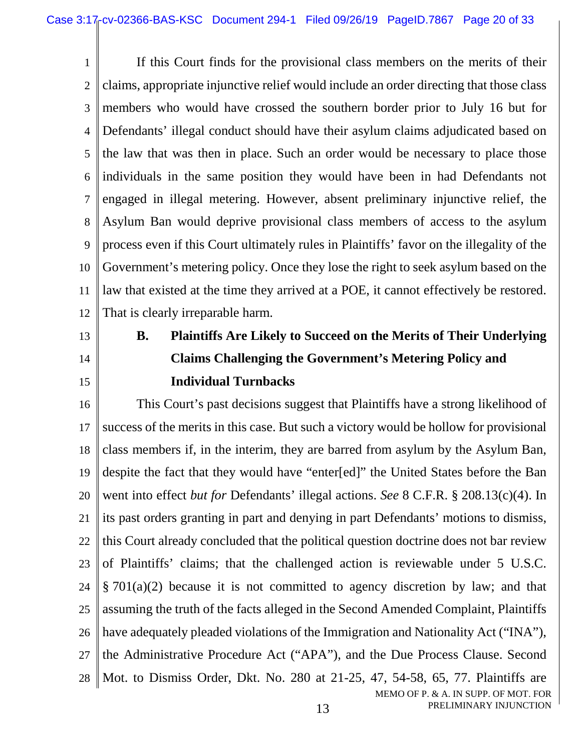1  $\overline{2}$ 3 4 5 6 7 8 9 10 11 12 If this Court finds for the provisional class members on the merits of their claims, appropriate injunctive relief would include an order directing that those class members who would have crossed the southern border prior to July 16 but for Defendants' illegal conduct should have their asylum claims adjudicated based on the law that was then in place. Such an order would be necessary to place those individuals in the same position they would have been in had Defendants not engaged in illegal metering. However, absent preliminary injunctive relief, the Asylum Ban would deprive provisional class members of access to the asylum process even if this Court ultimately rules in Plaintiffs' favor on the illegality of the Government's metering policy. Once they lose the right to seek asylum based on the law that existed at the time they arrived at a POE, it cannot effectively be restored. That is clearly irreparable harm.

- 13
- 14

15

# **B. Plaintiffs Are Likely to Succeed on the Merits of Their Underlying Claims Challenging the Government's Metering Policy and Individual Turnbacks**

MEMO OF P. & A. IN SUPP. OF MOT. FOR 16 17 18 19 20 21 22 23 24 25 26 27 28 This Court's past decisions suggest that Plaintiffs have a strong likelihood of success of the merits in this case. But such a victory would be hollow for provisional class members if, in the interim, they are barred from asylum by the Asylum Ban, despite the fact that they would have "enter[ed]" the United States before the Ban went into effect *but for* Defendants' illegal actions. *See* 8 C.F.R. § 208.13(c)(4). In its past orders granting in part and denying in part Defendants' motions to dismiss, this Court already concluded that the political question doctrine does not bar review of Plaintiffs' claims; that the challenged action is reviewable under 5 U.S.C. § 701(a)(2) because it is not committed to agency discretion by law; and that assuming the truth of the facts alleged in the Second Amended Complaint, Plaintiffs have adequately pleaded violations of the Immigration and Nationality Act ("INA"), the Administrative Procedure Act ("APA"), and the Due Process Clause. Second Mot. to Dismiss Order, Dkt. No. 280 at 21-25, 47, 54-58, 65, 77. Plaintiffs are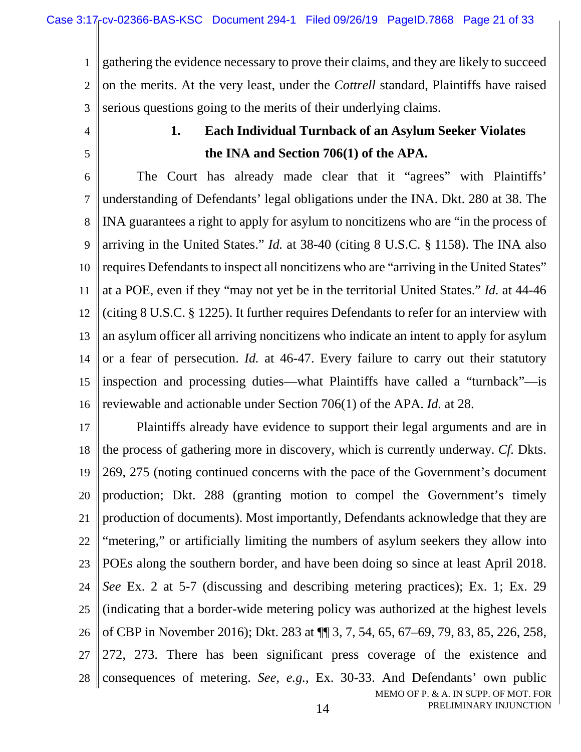1  $\mathfrak{D}$ 3 gathering the evidence necessary to prove their claims, and they are likely to succeed on the merits. At the very least, under the *Cottrell* standard, Plaintiffs have raised serious questions going to the merits of their underlying claims.

4

5

### **1. Each Individual Turnback of an Asylum Seeker Violates the INA and Section 706(1) of the APA.**

6 7 8 9 10 11 12 13 14 15 16 The Court has already made clear that it "agrees" with Plaintiffs' understanding of Defendants' legal obligations under the INA. Dkt. 280 at 38. The INA guarantees a right to apply for asylum to noncitizens who are "in the process of arriving in the United States." *Id.* at 38-40 (citing 8 U.S.C. § 1158). The INA also requires Defendants to inspect all noncitizens who are "arriving in the United States" at a POE, even if they "may not yet be in the territorial United States." *Id.* at 44-46 (citing 8 U.S.C. § 1225). It further requires Defendants to refer for an interview with an asylum officer all arriving noncitizens who indicate an intent to apply for asylum or a fear of persecution. *Id.* at 46-47. Every failure to carry out their statutory inspection and processing duties—what Plaintiffs have called a "turnback"—is reviewable and actionable under Section 706(1) of the APA. *Id.* at 28.

MEMO OF P. & A. IN SUPP. OF MOT. FOR PRELIMINARY INJUNCTION 17 18 19 20 21 22 23 24 25 26 27 28 Plaintiffs already have evidence to support their legal arguments and are in the process of gathering more in discovery, which is currently underway. *Cf.* Dkts. 269, 275 (noting continued concerns with the pace of the Government's document production; Dkt. 288 (granting motion to compel the Government's timely production of documents). Most importantly, Defendants acknowledge that they are "metering," or artificially limiting the numbers of asylum seekers they allow into POEs along the southern border, and have been doing so since at least April 2018. *See* Ex. 2 at 5-7 (discussing and describing metering practices); Ex. 1; Ex. 29 (indicating that a border-wide metering policy was authorized at the highest levels of CBP in November 2016); Dkt. 283 at ¶¶ 3, 7, 54, 65, 67–69, 79, 83, 85, 226, 258, 272, 273. There has been significant press coverage of the existence and consequences of metering. *See*, *e.g.*, Ex. 30-33. And Defendants' own public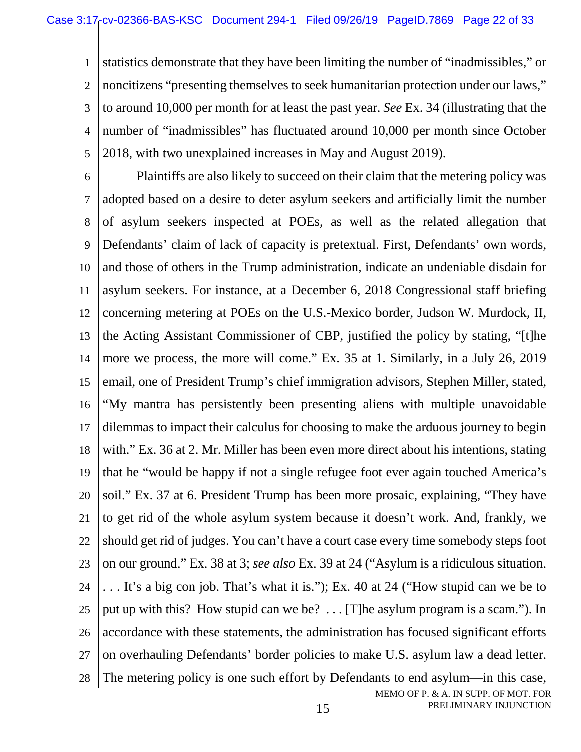1  $\overline{2}$ 3 4 5 statistics demonstrate that they have been limiting the number of "inadmissibles," or noncitizens "presenting themselves to seek humanitarian protection under our laws," to around 10,000 per month for at least the past year. *See* Ex. 34 (illustrating that the number of "inadmissibles" has fluctuated around 10,000 per month since October 2018, with two unexplained increases in May and August 2019).

MEMO OF P. & A. IN SUPP. OF MOT. FOR 6 7 8 9 10 11 12 13 14 15 16 17 18 19 20 21 22 23 24 25 26 27 28 Plaintiffs are also likely to succeed on their claim that the metering policy was adopted based on a desire to deter asylum seekers and artificially limit the number of asylum seekers inspected at POEs, as well as the related allegation that Defendants' claim of lack of capacity is pretextual. First, Defendants' own words, and those of others in the Trump administration, indicate an undeniable disdain for asylum seekers. For instance, at a December 6, 2018 Congressional staff briefing concerning metering at POEs on the U.S.-Mexico border, Judson W. Murdock, II, the Acting Assistant Commissioner of CBP, justified the policy by stating, "[t]he more we process, the more will come." Ex. 35 at 1. Similarly, in a July 26, 2019 email, one of President Trump's chief immigration advisors, Stephen Miller, stated, "My mantra has persistently been presenting aliens with multiple unavoidable dilemmas to impact their calculus for choosing to make the arduous journey to begin with." Ex. 36 at 2. Mr. Miller has been even more direct about his intentions, stating that he "would be happy if not a single refugee foot ever again touched America's soil." Ex. 37 at 6. President Trump has been more prosaic, explaining, "They have to get rid of the whole asylum system because it doesn't work. And, frankly, we should get rid of judges. You can't have a court case every time somebody steps foot on our ground." Ex. 38 at 3; *see also* Ex. 39 at 24 ("Asylum is a ridiculous situation. . . . It's a big con job. That's what it is."); Ex. 40 at 24 ("How stupid can we be to put up with this? How stupid can we be? . . . [T]he asylum program is a scam."). In accordance with these statements, the administration has focused significant efforts on overhauling Defendants' border policies to make U.S. asylum law a dead letter. The metering policy is one such effort by Defendants to end asylum—in this case,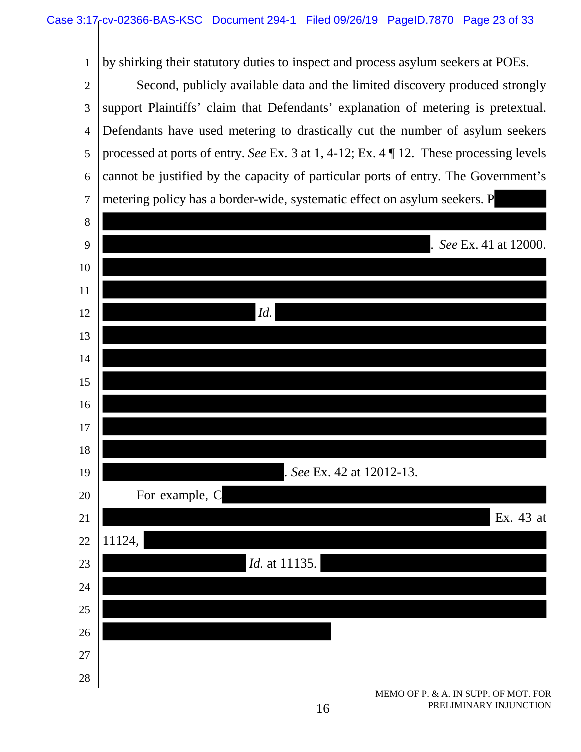1 by shirking their statutory duties to inspect and process asylum seekers at POEs.

 $\mathcal{L}$ 3 4 5 6 7 Second, publicly available data and the limited discovery produced strongly support Plaintiffs' claim that Defendants' explanation of metering is pretextual. Defendants have used metering to drastically cut the number of asylum seekers processed at ports of entry. *See* Ex. 3 at 1, 4-12; Ex. 4 ¶ 12. These processing levels cannot be justified by the capacity of particular ports of entry. The Government's metering policy has a border-wide, systematic effect on asylum seekers. P

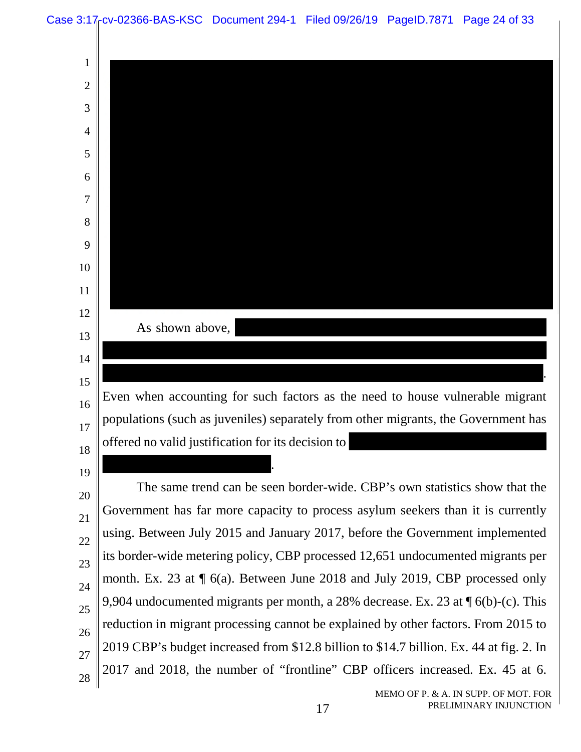

MEMO OF P. & A. IN SUPP. OF MOT. FOR PRELIMINARY INJUNCTION

reduction in migrant processing cannot be explained by other factors. From 2015 to

2019 CBP's budget increased from \$12.8 billion to \$14.7 billion. Ex. 44 at fig. 2. In

2017 and 2018, the number of "frontline" CBP officers increased. Ex. 45 at 6.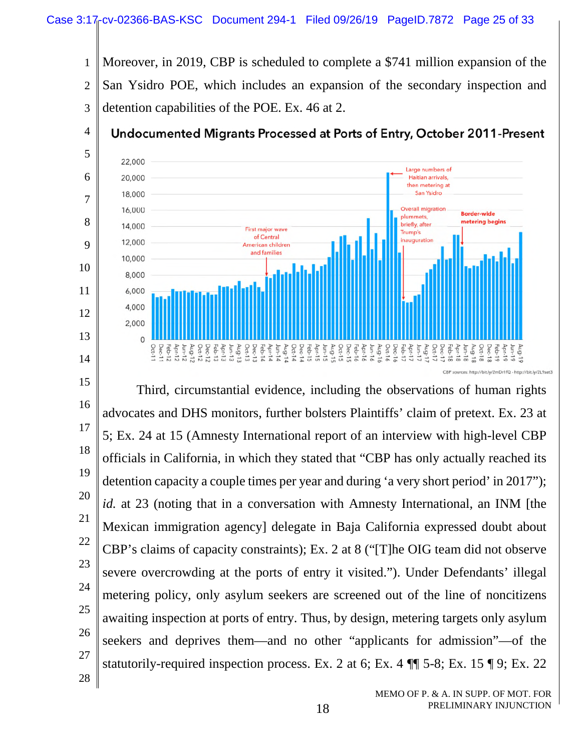

 Third, circumstantial evidence, including the observations of human rights advocates and DHS monitors, further bolsters Plaintiffs' claim of pretext. Ex. 23 at 5; Ex. 24 at 15 (Amnesty International report of an interview with high-level CBP officials in California, in which they stated that "CBP has only actually reached its detention capacity a couple times per year and during 'a very short period' in 2017"); *id.* at 23 (noting that in a conversation with Amnesty International, an INM [the Mexican immigration agency] delegate in Baja California expressed doubt about CBP's claims of capacity constraints); Ex. 2 at 8 ("[T]he OIG team did not observe severe overcrowding at the ports of entry it visited."). Under Defendants' illegal metering policy, only asylum seekers are screened out of the line of noncitizens awaiting inspection at ports of entry. Thus, by design, metering targets only asylum seekers and deprives them—and no other "applicants for admission"—of the statutorily-required inspection process. Ex. 2 at 6; Ex. 4 ¶¶ 5-8; Ex. 15 ¶ 9; Ex. 22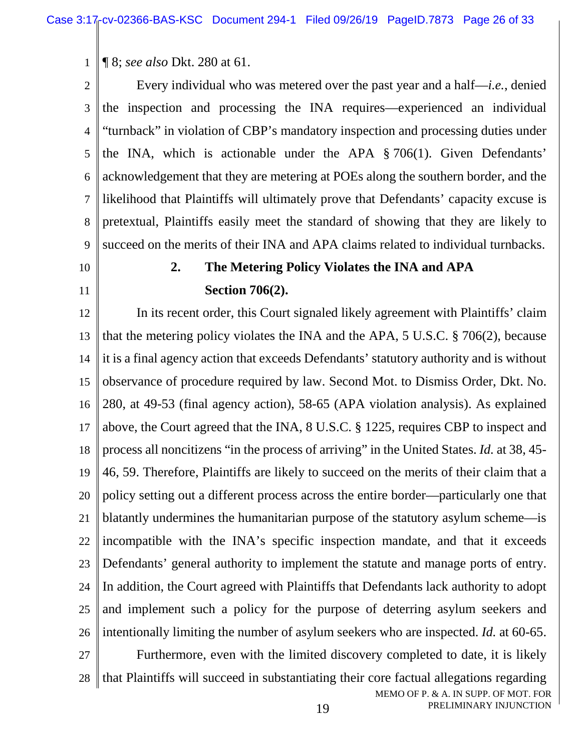1 ¶ 8; *see also* Dkt. 280 at 61.

 $\overline{2}$ 3 4 5 6 7 8 9 Every individual who was metered over the past year and a half—*i.e.*, denied the inspection and processing the INA requires—experienced an individual "turnback" in violation of CBP's mandatory inspection and processing duties under the INA, which is actionable under the APA § 706(1). Given Defendants' acknowledgement that they are metering at POEs along the southern border, and the likelihood that Plaintiffs will ultimately prove that Defendants' capacity excuse is pretextual, Plaintiffs easily meet the standard of showing that they are likely to succeed on the merits of their INA and APA claims related to individual turnbacks.

#### 10

11

## **2. The Metering Policy Violates the INA and APA Section 706(2).**

12 13 14 15 16 17 18 19 20 21 22 23 24 25 26 27 28 In its recent order, this Court signaled likely agreement with Plaintiffs' claim that the metering policy violates the INA and the APA, 5 U.S.C. § 706(2), because it is a final agency action that exceeds Defendants' statutory authority and is without observance of procedure required by law. Second Mot. to Dismiss Order, Dkt. No. 280, at 49-53 (final agency action), 58-65 (APA violation analysis). As explained above, the Court agreed that the INA, 8 U.S.C. § 1225, requires CBP to inspect and process all noncitizens "in the process of arriving" in the United States. *Id.* at 38, 45- 46, 59. Therefore, Plaintiffs are likely to succeed on the merits of their claim that a policy setting out a different process across the entire border—particularly one that blatantly undermines the humanitarian purpose of the statutory asylum scheme—is incompatible with the INA's specific inspection mandate, and that it exceeds Defendants' general authority to implement the statute and manage ports of entry. In addition, the Court agreed with Plaintiffs that Defendants lack authority to adopt and implement such a policy for the purpose of deterring asylum seekers and intentionally limiting the number of asylum seekers who are inspected. *Id.* at 60-65. Furthermore, even with the limited discovery completed to date, it is likely that Plaintiffs will succeed in substantiating their core factual allegations regarding

MEMO OF P. & A. IN SUPP. OF MOT. FOR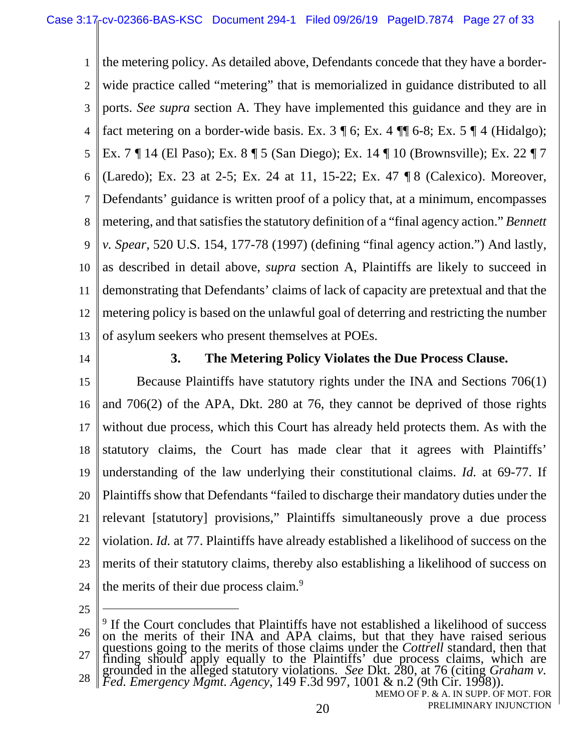1  $\mathfrak{D}$ 3 4 5 6 7 8 9 10 11 12 13 the metering policy. As detailed above, Defendants concede that they have a borderwide practice called "metering" that is memorialized in guidance distributed to all ports. *See supra* section A. They have implemented this guidance and they are in fact metering on a border-wide basis. Ex.  $3 \nparallel 6$ ; Ex.  $4 \nparallel 6-8$ ; Ex.  $5 \nparallel 4$  (Hidalgo); Ex. 7 ¶ 14 (El Paso); Ex. 8 ¶ 5 (San Diego); Ex. 14 ¶ 10 (Brownsville); Ex. 22 ¶ 7 (Laredo); Ex. 23 at 2-5; Ex. 24 at 11, 15-22; Ex. 47 ¶ 8 (Calexico). Moreover, Defendants' guidance is written proof of a policy that, at a minimum, encompasses metering, and that satisfies the statutory definition of a "final agency action." *Bennett v. Spear*, 520 U.S. 154, 177-78 (1997) (defining "final agency action.") And lastly, as described in detail above, *supra* section A, Plaintiffs are likely to succeed in demonstrating that Defendants' claims of lack of capacity are pretextual and that the metering policy is based on the unlawful goal of deterring and restricting the number of asylum seekers who present themselves at POEs.

14

### **3. The Metering Policy Violates the Due Process Clause.**

15 16 17 18 19 20 21 22 23 24 Because Plaintiffs have statutory rights under the INA and Sections 706(1) and 706(2) of the APA, Dkt. 280 at 76, they cannot be deprived of those rights without due process, which this Court has already held protects them. As with the statutory claims, the Court has made clear that it agrees with Plaintiffs' understanding of the law underlying their constitutional claims. *Id.* at 69-77. If Plaintiffs show that Defendants "failed to discharge their mandatory duties under the relevant [statutory] provisions," Plaintiffs simultaneously prove a due process violation. *Id.* at 77. Plaintiffs have already established a likelihood of success on the merits of their statutory claims, thereby also establishing a likelihood of success on the merits of their due process claim.<sup>9</sup>

<sup>26</sup> 27 28 <sup>9</sup> If the Court concludes that Plaintiffs have not established a likelihood of success on the merits of their INA and APA claims, but that they have raised serious questions going to the merits of those claims under the *Cottrell* standard, then that finding should apply equally to the Plaintiffs' due process claims, which are grounded in the alleged statutory violations. *See* Dkt. 280, at 76 (citing *Graham v. Fed. Emergency Mgmt. Agency*, 149 F.3d 997, 1001 & n.2 (9th Cir. 1998)).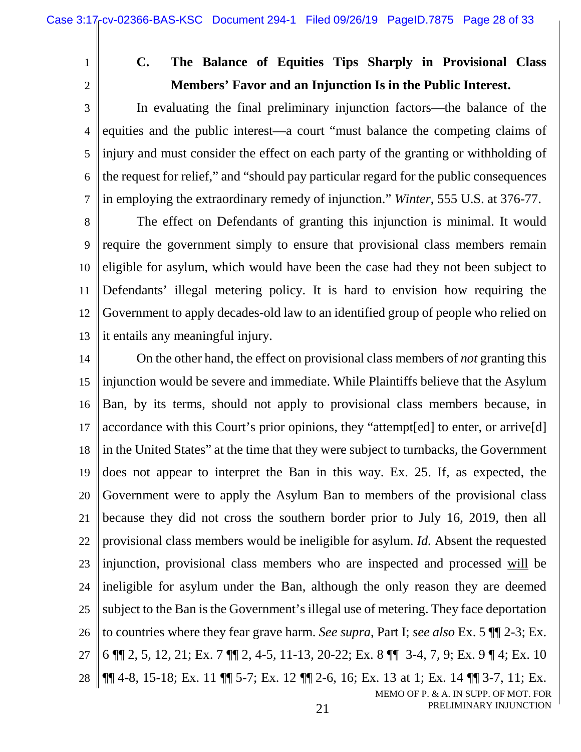1

2

# **C. The Balance of Equities Tips Sharply in Provisional Class Members' Favor and an Injunction Is in the Public Interest.**

3 4 5 6 7 In evaluating the final preliminary injunction factors—the balance of the equities and the public interest—a court "must balance the competing claims of injury and must consider the effect on each party of the granting or withholding of the request for relief," and "should pay particular regard for the public consequences in employing the extraordinary remedy of injunction." *Winter*, 555 U.S. at 376-77.

8 9 10 11 12 13 The effect on Defendants of granting this injunction is minimal. It would require the government simply to ensure that provisional class members remain eligible for asylum, which would have been the case had they not been subject to Defendants' illegal metering policy. It is hard to envision how requiring the Government to apply decades-old law to an identified group of people who relied on it entails any meaningful injury.

MEMO OF P. & A. IN SUPP. OF MOT. FOR 14 15 16 17 18 19 20 21 22 23 24 25 26 27 28 On the other hand, the effect on provisional class members of *not* granting this injunction would be severe and immediate. While Plaintiffs believe that the Asylum Ban, by its terms, should not apply to provisional class members because, in accordance with this Court's prior opinions, they "attempt[ed] to enter, or arrive[d] in the United States" at the time that they were subject to turnbacks, the Government does not appear to interpret the Ban in this way. Ex. 25. If, as expected, the Government were to apply the Asylum Ban to members of the provisional class because they did not cross the southern border prior to July 16, 2019, then all provisional class members would be ineligible for asylum. *Id.* Absent the requested injunction, provisional class members who are inspected and processed will be ineligible for asylum under the Ban, although the only reason they are deemed subject to the Ban is the Government's illegal use of metering. They face deportation to countries where they fear grave harm. *See supra*, Part I; *see also* Ex. 5 ¶¶ 2-3; Ex. 6 ¶¶ 2, 5, 12, 21; Ex. 7 ¶¶ 2, 4-5, 11-13, 20-22; Ex. 8 ¶¶ 3-4, 7, 9; Ex. 9 ¶ 4; Ex. 10 ¶¶ 4-8, 15-18; Ex. 11 ¶¶ 5-7; Ex. 12 ¶¶ 2-6, 16; Ex. 13 at 1; Ex. 14 ¶¶ 3-7, 11; Ex.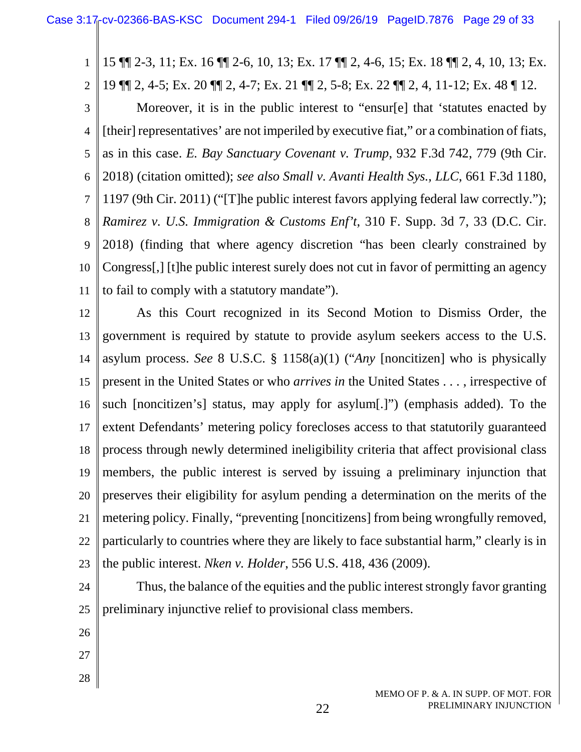1 15 ¶¶ 2-3, 11; Ex. 16 ¶¶ 2-6, 10, 13; Ex. 17 ¶¶ 2, 4-6, 15; Ex. 18 ¶¶ 2, 4, 10, 13; Ex. 19 ¶¶ 2, 4-5; Ex. 20 ¶¶ 2, 4-7; Ex. 21 ¶¶ 2, 5-8; Ex. 22 ¶¶ 2, 4, 11-12; Ex. 48 ¶ 12.

3 4 5 6 7 8 9 10 11 Moreover, it is in the public interest to "ensur[e] that 'statutes enacted by [their] representatives' are not imperiled by executive fiat," or a combination of fiats, as in this case. *E. Bay Sanctuary Covenant v. Trump*, 932 F.3d 742, 779 (9th Cir. 2018) (citation omitted); *see also Small v. Avanti Health Sys., LLC*, 661 F.3d 1180, 1197 (9th Cir. 2011) ("[T]he public interest favors applying federal law correctly."); *Ramirez v. U.S. Immigration & Customs Enf't*, 310 F. Supp. 3d 7, 33 (D.C. Cir. 2018) (finding that where agency discretion "has been clearly constrained by Congress[,] [t]he public interest surely does not cut in favor of permitting an agency to fail to comply with a statutory mandate").

12 13 14 15 16 17 18 19 20 21 22 23 As this Court recognized in its Second Motion to Dismiss Order, the government is required by statute to provide asylum seekers access to the U.S. asylum process. *See* 8 U.S.C. § 1158(a)(1) ("*Any* [noncitizen] who is physically present in the United States or who *arrives in* the United States . . . , irrespective of such [noncitizen's] status, may apply for asylum[.]") (emphasis added). To the extent Defendants' metering policy forecloses access to that statutorily guaranteed process through newly determined ineligibility criteria that affect provisional class members, the public interest is served by issuing a preliminary injunction that preserves their eligibility for asylum pending a determination on the merits of the metering policy. Finally, "preventing [noncitizens] from being wrongfully removed, particularly to countries where they are likely to face substantial harm," clearly is in the public interest. *Nken v. Holder*, 556 U.S. 418, 436 (2009).

24

2

25 Thus, the balance of the equities and the public interest strongly favor granting preliminary injunctive relief to provisional class members.

- 26
- 
- 27
- 28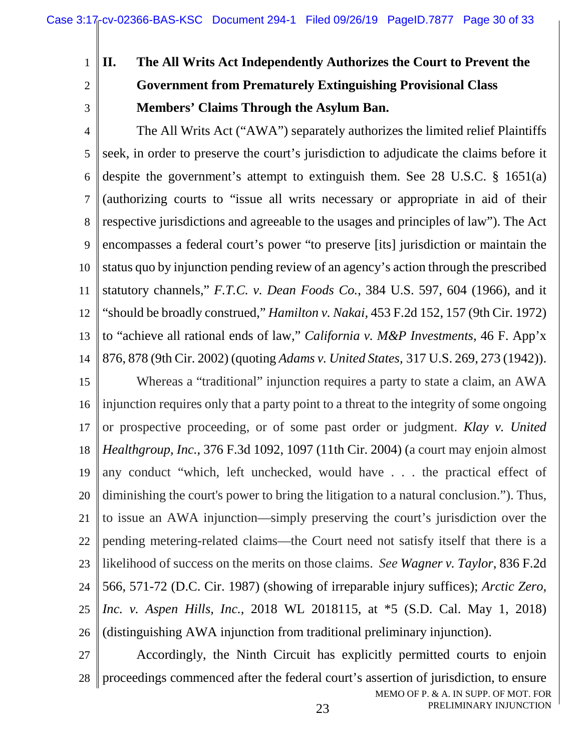1 2

3

**II. The All Writs Act Independently Authorizes the Court to Prevent the Government from Prematurely Extinguishing Provisional Class Members' Claims Through the Asylum Ban.** 

4 5 6 7 8 9 10 11 12 13 14 The All Writs Act ("AWA") separately authorizes the limited relief Plaintiffs seek, in order to preserve the court's jurisdiction to adjudicate the claims before it despite the government's attempt to extinguish them. See 28 U.S.C. § 1651(a) (authorizing courts to "issue all writs necessary or appropriate in aid of their respective jurisdictions and agreeable to the usages and principles of law"). The Act encompasses a federal court's power "to preserve [its] jurisdiction or maintain the status quo by injunction pending review of an agency's action through the prescribed statutory channels," *F.T.C. v. Dean Foods Co.*, 384 U.S. 597, 604 (1966), and it "should be broadly construed," *Hamilton v. Nakai,* 453 F.2d 152, 157 (9th Cir. 1972) to "achieve all rational ends of law," *California v. M&P Investments*, 46 F. App'x 876, 878 (9th Cir. 2002) (quoting *Adams v. United States,* 317 U.S. 269, 273 (1942)).

15 16 17 18 19 20 21 22 23 24 25 26 Whereas a "traditional" injunction requires a party to state a claim, an AWA injunction requires only that a party point to a threat to the integrity of some ongoing or prospective proceeding, or of some past order or judgment. *Klay v. United Healthgroup, Inc.*, 376 F.3d 1092, 1097 (11th Cir. 2004) (a court may enjoin almost any conduct "which, left unchecked, would have . . . the practical effect of diminishing the court's power to bring the litigation to a natural conclusion."). Thus, to issue an AWA injunction—simply preserving the court's jurisdiction over the pending metering-related claims—the Court need not satisfy itself that there is a likelihood of success on the merits on those claims. *See Wagner v. Taylor*, 836 F.2d 566, 571-72 (D.C. Cir. 1987) (showing of irreparable injury suffices); *Arctic Zero, Inc. v. Aspen Hills, Inc.*, 2018 WL 2018115, at \*5 (S.D. Cal. May 1, 2018) (distinguishing AWA injunction from traditional preliminary injunction).

MEMO OF P. & A. IN SUPP. OF MOT. FOR PRELIMINARY INJUNCTION 27 28 Accordingly, the Ninth Circuit has explicitly permitted courts to enjoin proceedings commenced after the federal court's assertion of jurisdiction, to ensure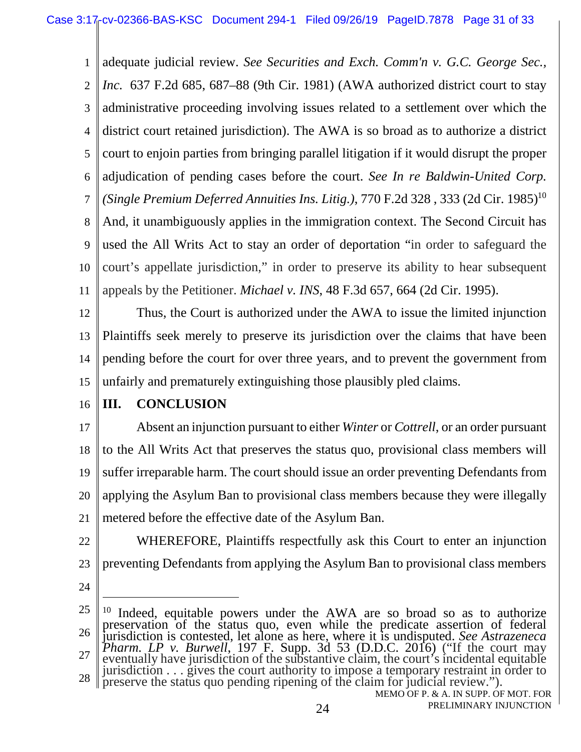1  $\mathfrak{D}$ 3 4 5 6 7 8 9 10 11 adequate judicial review. *See Securities and Exch. Comm'n v. G.C. George Sec., Inc.* 637 F.2d 685, 687–88 (9th Cir. 1981) (AWA authorized district court to stay administrative proceeding involving issues related to a settlement over which the district court retained jurisdiction). The AWA is so broad as to authorize a district court to enjoin parties from bringing parallel litigation if it would disrupt the proper adjudication of pending cases before the court. *See In re Baldwin-United Corp. (Single Premium Deferred Annuities Ins. Litig.), 770 F.2d 328, 333 (2d Cir. 1985)*<sup>10</sup> And, it unambiguously applies in the immigration context. The Second Circuit has used the All Writs Act to stay an order of deportation "in order to safeguard the court's appellate jurisdiction," in order to preserve its ability to hear subsequent appeals by the Petitioner. *Michael v. INS*, 48 F.3d 657, 664 (2d Cir. 1995).

12 13 14 15 Thus, the Court is authorized under the AWA to issue the limited injunction Plaintiffs seek merely to preserve its jurisdiction over the claims that have been pending before the court for over three years, and to prevent the government from unfairly and prematurely extinguishing those plausibly pled claims.

16

### **III. CONCLUSION**

17 18 19 20 21 Absent an injunction pursuant to either *Winter* or *Cottrell*, or an order pursuant to the All Writs Act that preserves the status quo, provisional class members will suffer irreparable harm. The court should issue an order preventing Defendants from applying the Asylum Ban to provisional class members because they were illegally metered before the effective date of the Asylum Ban.

22

23 WHEREFORE, Plaintiffs respectfully ask this Court to enter an injunction preventing Defendants from applying the Asylum Ban to provisional class members

<sup>25</sup> 26 27 28 Indeed, equitable powers under the AWA are so broad so as to authorize preservation of the status quo, even while the predicate assertion of federal jurisdiction is contested, let alone as here, where it is undisputed. *See Astrazeneca Pharm. LP v. Burwell*, 197 F. Supp. 3d 53 (D.D.C. 2016) ("If the court may eventually have jurisdiction of the substantive claim, the court's incidental equitable jurisdiction . . . gives the court authority to impose a temporary restraint in order to preserve the status quo pending ripening of the claim for judicial review.").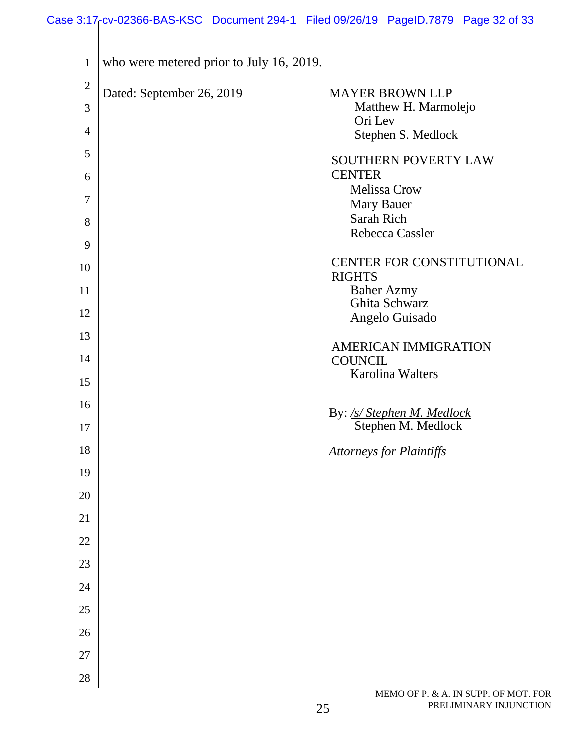| $\mathbf{1}$   | who were metered prior to July 16, 2019. |                                                  |
|----------------|------------------------------------------|--------------------------------------------------|
| $\overline{2}$ | Dated: September 26, 2019                | <b>MAYER BROWN LLP</b>                           |
| 3              |                                          | Matthew H. Marmolejo<br>Ori Lev                  |
| $\overline{4}$ |                                          | Stephen S. Medlock                               |
| 5              |                                          | <b>SOUTHERN POVERTY LAW</b>                      |
| 6              |                                          | <b>CENTER</b><br><b>Melissa Crow</b>             |
| 7              |                                          | Mary Bauer                                       |
| 8              |                                          | Sarah Rich<br>Rebecca Cassler                    |
| 9              |                                          |                                                  |
| 10             |                                          | CENTER FOR CONSTITUTIONAL<br><b>RIGHTS</b>       |
| 11             |                                          | <b>Baher Azmy</b>                                |
| 12             |                                          | Ghita Schwarz<br>Angelo Guisado                  |
| 13             |                                          | AMERICAN IMMIGRATION                             |
| 14             |                                          | <b>COUNCIL</b>                                   |
| 15             |                                          | <b>Karolina Walters</b>                          |
| 16             |                                          |                                                  |
| 17             |                                          | By: /s/ Stephen M. Medlock<br>Stephen M. Medlock |
| 18             |                                          | <b>Attorneys for Plaintiffs</b>                  |
| 19             |                                          |                                                  |
| 20             |                                          |                                                  |
| 21             |                                          |                                                  |
| $22\,$         |                                          |                                                  |
| 23             |                                          |                                                  |
| 24             |                                          |                                                  |
| 25             |                                          |                                                  |
| 26             |                                          |                                                  |
| $27\,$         |                                          |                                                  |
| 28             |                                          |                                                  |
|                |                                          |                                                  |